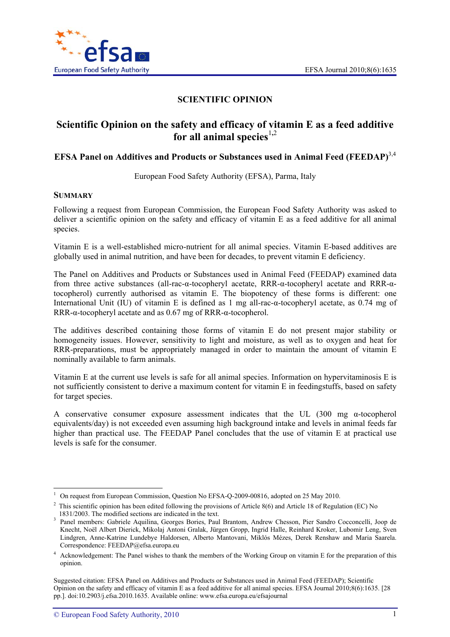

# **SCIENTIFIC OPINION**

# **Scientific Opinion on the safety and efficacy of vitamin E as a feed additive for all animal species**<sup> $1,2$ </sup>

# **EFSA Panel on Additives and Products or Substances used in Animal Feed (FEEDAP)**3,4

European Food Safety Authority (EFSA), Parma, Italy

#### **SUMMARY**

l

Following a request from European Commission, the European Food Safety Authority was asked to deliver a scientific opinion on the safety and efficacy of vitamin E as a feed additive for all animal species.

Vitamin E is a well-established micro-nutrient for all animal species. Vitamin E-based additives are globally used in animal nutrition, and have been for decades, to prevent vitamin E deficiency.

The Panel on Additives and Products or Substances used in Animal Feed (FEEDAP) examined data from three active substances (all-rac-α-tocopheryl acetate, RRR-α-tocopheryl acetate and RRR-αtocopherol) currently authorised as vitamin E. The biopotency of these forms is different: one International Unit (IU) of vitamin E is defined as 1 mg all-rac-α-tocopheryl acetate, as 0.74 mg of RRR-α-tocopheryl acetate and as 0.67 mg of RRR-α-tocopherol.

The additives described containing those forms of vitamin E do not present major stability or homogeneity issues. However, sensitivity to light and moisture, as well as to oxygen and heat for RRR-preparations, must be appropriately managed in order to maintain the amount of vitamin E nominally available to farm animals.

Vitamin E at the current use levels is safe for all animal species. Information on hypervitaminosis E is not sufficiently consistent to derive a maximum content for vitamin E in feedingstuffs, based on safety for target species.

A conservative consumer exposure assessment indicates that the UL (300 mg  $\alpha$ -tocopherol equivalents/day) is not exceeded even assuming high background intake and levels in animal feeds far higher than practical use. The FEEDAP Panel concludes that the use of vitamin E at practical use levels is safe for the consumer.

<sup>1</sup> On request from European Commission, Question No EFSA-Q-2009-00816, adopted on 25 May 2010.

<sup>2</sup> This scientific opinion has been edited following the provisions of Article 8(6) and Article 18 of Regulation (EC) No

<sup>1831/2003.</sup> The modified sections are indicated in the text.<br><sup>3</sup> Panel members: Gabriele Aquilina, Georges Bories, Paul Brantom, Andrew Chesson, Pier Sandro Cocconcelli, Joop de Knecht, Noël Albert Dierick, Mikolaj Antoni Gralak, Jürgen Gropp, Ingrid Halle, Reinhard Kroker, Lubomir Leng, Sven Lindgren, Anne-Katrine Lundebye Haldorsen, Alberto Mantovani, Miklós Mézes, Derek Renshaw and Maria Saarela. Correspondence: FEEDAP@efsa.europa.eu

<sup>&</sup>lt;sup>4</sup> Acknowledgement: The Panel wishes to thank the members of the Working Group on vitamin E for the preparation of this opinion.

Suggested citation: EFSA Panel on Additives and Products or Substances used in Animal Feed (FEEDAP); Scientific Opinion on the safety and efficacy of vitamin E as a feed additive for all animal species. EFSA Journal 2010;8(6):1635. [28 pp.]. doi:10.2903/j.efsa.2010.1635. Available online: www.efsa.europa.eu/efsajournal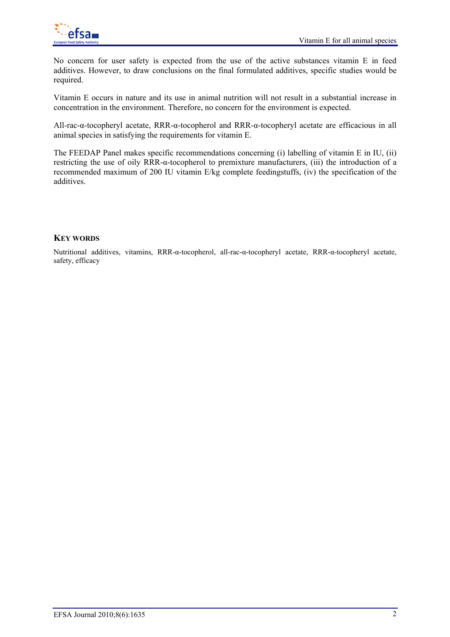

No concern for user safety is expected from the use of the active substances vitamin E in feed additives. However, to draw conclusions on the final formulated additives, specific studies would be required.

Vitamin E occurs in nature and its use in animal nutrition will not result in a substantial increase in concentration in the environment. Therefore, no concern for the environment is expected.

All-rac-α-tocopheryl acetate, RRR-α-tocopherol and RRR-α-tocopheryl acetate are efficacious in all animal species in satisfying the requirements for vitamin E.

The FEEDAP Panel makes specific recommendations concerning (i) labelling of vitamin E in IU, (ii) restricting the use of oily RRR-α-tocopherol to premixture manufacturers, (iii) the introduction of a recommended maximum of 200 IU vitamin E/kg complete feedingstuffs, (iv) the specification of the additives.

# **KEY WORDS**

Nutritional additives, vitamins, RRR-α-tocopherol, all-rac-α-tocopheryl acetate, RRR-α-tocopheryl acetate, safety, efficacy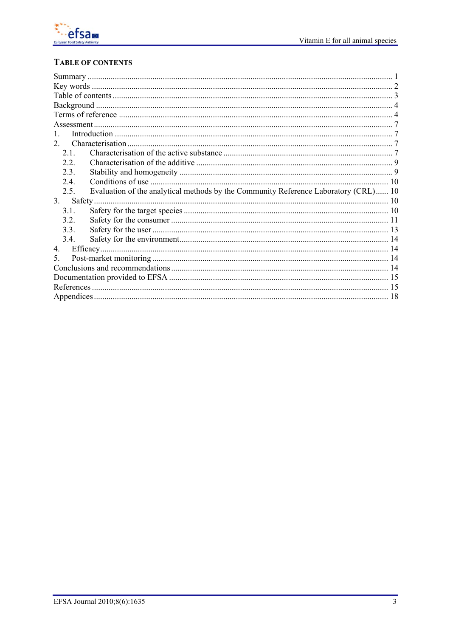

# **TABLE OF CONTENTS**

| $2^{\circ}$ |                                                                                     |  |
|-------------|-------------------------------------------------------------------------------------|--|
| 2.1         |                                                                                     |  |
| 22          |                                                                                     |  |
| 2.3.        |                                                                                     |  |
| 24          |                                                                                     |  |
| 2.5.        | Evaluation of the analytical methods by the Community Reference Laboratory (CRL) 10 |  |
| 3.          |                                                                                     |  |
| 31          |                                                                                     |  |
| 32          |                                                                                     |  |
| 3.3.        |                                                                                     |  |
| 3.4.        |                                                                                     |  |
| $4_{\cdot}$ |                                                                                     |  |
| 5.          |                                                                                     |  |
|             |                                                                                     |  |
|             |                                                                                     |  |
|             |                                                                                     |  |
|             |                                                                                     |  |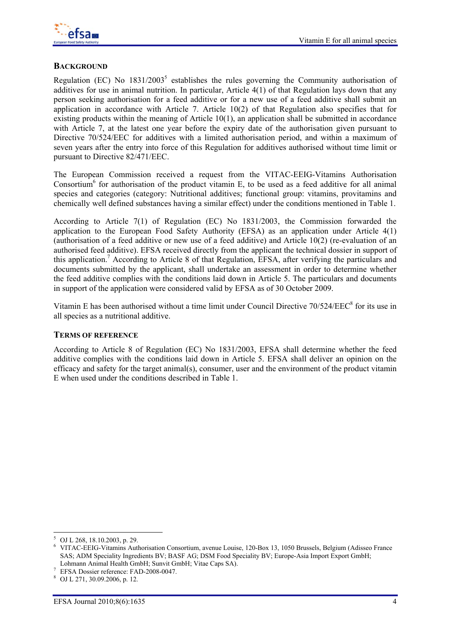

# **BACKGROUND**

Regulation (EC) No  $1831/2003^5$  establishes the rules governing the Community authorisation of additives for use in animal nutrition. In particular, Article 4(1) of that Regulation lays down that any person seeking authorisation for a feed additive or for a new use of a feed additive shall submit an application in accordance with Article 7. Article 10(2) of that Regulation also specifies that for existing products within the meaning of Article 10(1), an application shall be submitted in accordance with Article 7, at the latest one year before the expiry date of the authorisation given pursuant to Directive 70/524/EEC for additives with a limited authorisation period, and within a maximum of seven years after the entry into force of this Regulation for additives authorised without time limit or pursuant to Directive 82/471/EEC.

The European Commission received a request from the VITAC-EEIG-Vitamins Authorisation Consortium<sup>6</sup> for authorisation of the product vitamin E, to be used as a feed additive for all animal species and categories (category: Nutritional additives; functional group: vitamins, provitamins and chemically well defined substances having a similar effect) under the conditions mentioned in Table 1.

According to Article 7(1) of Regulation (EC) No 1831/2003, the Commission forwarded the application to the European Food Safety Authority (EFSA) as an application under Article 4(1) (authorisation of a feed additive or new use of a feed additive) and Article 10(2) (re-evaluation of an authorised feed additive). EFSA received directly from the applicant the technical dossier in support of this application.<sup>7</sup> According to Article 8 of that Regulation, EFSA, after verifying the particulars and documents submitted by the applicant, shall undertake an assessment in order to determine whether the feed additive complies with the conditions laid down in Article 5. The particulars and documents in support of the application were considered valid by EFSA as of 30 October 2009.

Vitamin E has been authorised without a time limit under Council Directive 70/524/EEC<sup>8</sup> for its use in all species as a nutritional additive.

#### **TERMS OF REFERENCE**

According to Article 8 of Regulation (EC) No 1831/2003, EFSA shall determine whether the feed additive complies with the conditions laid down in Article 5. EFSA shall deliver an opinion on the efficacy and safety for the target animal(s), consumer, user and the environment of the product vitamin E when used under the conditions described in Table 1.

l

<sup>5</sup> OJ L 268, 18.10.2003, p. 29. 6 VITAC-EEIG-Vitamins Authorisation Consortium, avenue Louise, 120-Box 13, 1050 Brussels, Belgium (Adisseo France SAS; ADM Speciality Ingredients BV; BASF AG; DSM Food Speciality BV; Europe-Asia Import Export GmbH;

Lohmann Animal Health GmbH; Sunvit GmbH; Vitae Caps SA).<br>*EFSA Dossier reference: FAD-2008-0047.* 

OJ L 271, 30.09.2006, p. 12.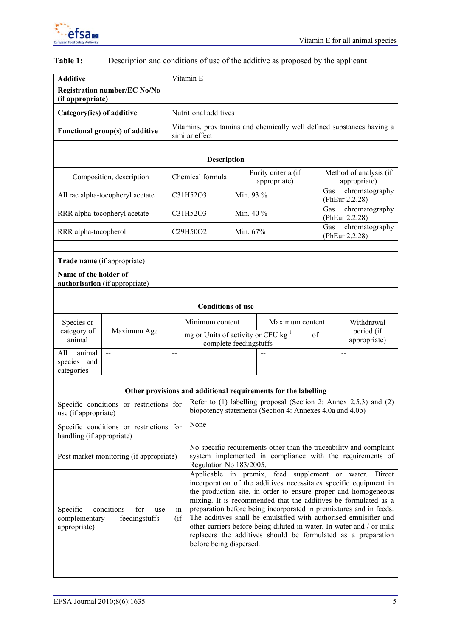

| <b>Additive</b>              |                                     | Vitamin E                                                                                    |           |                                     |                            |                                                                       |  |
|------------------------------|-------------------------------------|----------------------------------------------------------------------------------------------|-----------|-------------------------------------|----------------------------|-----------------------------------------------------------------------|--|
| (if appropriate)             | <b>Registration number/EC No/No</b> |                                                                                              |           |                                     |                            |                                                                       |  |
| Category(ies) of additive    |                                     | Nutritional additives                                                                        |           |                                     |                            |                                                                       |  |
|                              | Functional group(s) of additive     | similar effect                                                                               |           |                                     |                            | Vitamins, provitamins and chemically well defined substances having a |  |
|                              |                                     |                                                                                              |           |                                     |                            |                                                                       |  |
|                              |                                     | <b>Description</b>                                                                           |           |                                     |                            |                                                                       |  |
|                              | Composition, description            | Chemical formula                                                                             |           | Purity criteria (if<br>appropriate) |                            | Method of analysis (if<br>appropriate)                                |  |
|                              | All rac alpha-tocopheryl acetate    | C31H52O3                                                                                     | Min. 93 % |                                     |                            | chromatography<br>Gas<br>(PhEur 2.2.28)                               |  |
| RRR alpha-tocopheryl acetate |                                     | C31H52O3                                                                                     | Min. 40 % |                                     |                            | Gas<br>chromatography<br>(PhEur 2.2.28)                               |  |
| RRR alpha-tocopherol         |                                     | C29H50O2                                                                                     | Min. 67%  |                                     |                            | Gas<br>chromatography<br>(PhEur 2.2.28)                               |  |
|                              |                                     |                                                                                              |           |                                     |                            |                                                                       |  |
|                              | Trade name (if appropriate)         |                                                                                              |           |                                     |                            |                                                                       |  |
| Name of the holder of        | authorisation (if appropriate)      |                                                                                              |           |                                     |                            |                                                                       |  |
|                              |                                     |                                                                                              |           |                                     |                            |                                                                       |  |
|                              |                                     | <b>Conditions of use</b>                                                                     |           |                                     |                            |                                                                       |  |
| Species or                   |                                     | Minimum content<br>mg or Units of activity or CFU kg <sup>-1</sup><br>complete feedingstuffs |           | Maximum content                     |                            | Withdrawal                                                            |  |
| category of<br>animal        | Maximum Age                         |                                                                                              |           | of                                  | period (if<br>appropriate) |                                                                       |  |
| All<br>animal<br>species and | --                                  | $-$                                                                                          |           |                                     |                            | $-$                                                                   |  |
| categories                   |                                     |                                                                                              |           |                                     |                            |                                                                       |  |
|                              |                                     |                                                                                              |           |                                     |                            |                                                                       |  |
|                              |                                     | Other provisions and additional requirements for the labelling                               |           |                                     |                            |                                                                       |  |

# **Table 1:** Description and conditions of use of the additive as proposed by the applicant

| Other provisions and additional requirements for the labelling                                             |                                                                                                                                                                                                                                                                                                                                                                                                                                                                                                                                                                                |  |  |  |  |  |
|------------------------------------------------------------------------------------------------------------|--------------------------------------------------------------------------------------------------------------------------------------------------------------------------------------------------------------------------------------------------------------------------------------------------------------------------------------------------------------------------------------------------------------------------------------------------------------------------------------------------------------------------------------------------------------------------------|--|--|--|--|--|
| Specific conditions or restrictions for<br>use (if appropriate)                                            | Refer to (1) labelling proposal (Section 2: Annex 2.5.3) and (2)<br>biopotency statements (Section 4: Annexes 4.0a and 4.0b)                                                                                                                                                                                                                                                                                                                                                                                                                                                   |  |  |  |  |  |
| Specific conditions or restrictions for<br>handling (if appropriate)                                       | None                                                                                                                                                                                                                                                                                                                                                                                                                                                                                                                                                                           |  |  |  |  |  |
| Post market monitoring (if appropriate)                                                                    | No specific requirements other than the traceability and complaint<br>system implemented in compliance with the requirements of<br>Regulation No 183/2005.                                                                                                                                                                                                                                                                                                                                                                                                                     |  |  |  |  |  |
| conditions<br><b>Specific</b><br>for<br>use<br>1n<br>(ii<br>complementary<br>feedingstuffs<br>appropriate) | Applicable in premix, feed supplement or water. Direct<br>incorporation of the additives necessitates specific equipment in<br>the production site, in order to ensure proper and homogeneous<br>mixing. It is recommended that the additives be formulated as a<br>preparation before being incorporated in premixtures and in feeds.<br>The additives shall be emulsified with authorised emulsifier and<br>other carriers before being diluted in water. In water and / or milk<br>replacers the additives should be formulated as a preparation<br>before being dispersed. |  |  |  |  |  |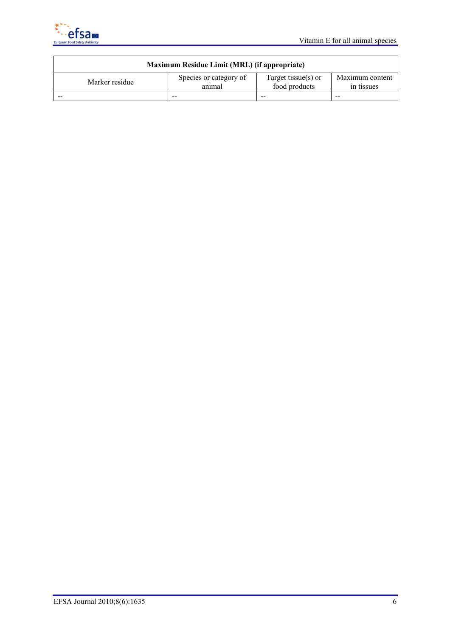

| Maximum Residue Limit (MRL) (if appropriate) |                                  |                                      |                               |  |  |  |  |
|----------------------------------------------|----------------------------------|--------------------------------------|-------------------------------|--|--|--|--|
| Marker residue                               | Species or category of<br>animal | Target tissue(s) or<br>food products | Maximum content<br>in tissues |  |  |  |  |
|                                              | --                               | $- -$                                | $- -$                         |  |  |  |  |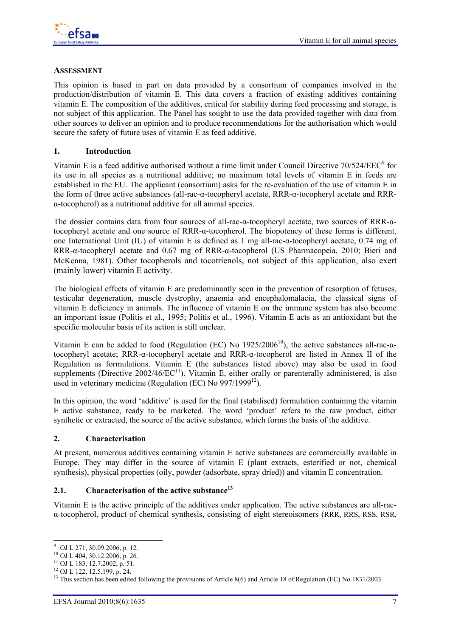

#### **ASSESSMENT**

This opinion is based in part on data provided by a consortium of companies involved in the production/distribution of vitamin E. This data covers a fraction of existing additives containing vitamin E. The composition of the additives, critical for stability during feed processing and storage, is not subject of this application. The Panel has sought to use the data provided together with data from other sources to deliver an opinion and to produce recommendations for the authorisation which would secure the safety of future uses of vitamin E as feed additive.

### **1. Introduction**

Vitamin E is a feed additive authorised without a time limit under Council Directive  $70/524/EEC<sup>9</sup>$  for its use in all species as a nutritional additive; no maximum total levels of vitamin E in feeds are established in the EU. The applicant (consortium) asks for the re-evaluation of the use of vitamin E in the form of three active substances (all-rac-α-tocopheryl acetate, RRR-α-tocopheryl acetate and RRR- $\alpha$ -tocopherol) as a nutritional additive for all animal species.

The dossier contains data from four sources of all-rac-α-tocopheryl acetate, two sources of RRR-αtocopheryl acetate and one source of RRR-α-tocopherol. The biopotency of these forms is different, one International Unit (IU) of vitamin E is defined as 1 mg all-rac-α-tocopheryl acetate, 0.74 mg of RRR-α-tocopheryl acetate and 0.67 mg of RRR-α-tocopherol (US Pharmacopeia, 2010; Bieri and McKenna, 1981). Other tocopherols and tocotrienols, not subject of this application, also exert (mainly lower) vitamin E activity.

The biological effects of vitamin E are predominantly seen in the prevention of resorption of fetuses, testicular degeneration, muscle dystrophy, anaemia and encephalomalacia, the classical signs of vitamin E deficiency in animals. The influence of vitamin E on the immune system has also become an important issue (Politis et al., 1995; Politis et al., 1996). Vitamin E acts as an antioxidant but the specific molecular basis of its action is still unclear.

Vitamin E can be added to food (Regulation (EC) No  $1925/2006^{10}$ ), the active substances all-rac- $\alpha$ tocopheryl acetate; RRR-α-tocopheryl acetate and RRR-α-tocopherol are listed in Annex II of the Regulation as formulations. Vitamin E (the substances listed above) may also be used in food supplements (Directive  $2002/46/EC^{11}$ ). Vitamin E, either orally or parenterally administered, is also used in veterinary medicine (Regulation (EC) No  $997/1999^{12}$ ).

In this opinion, the word 'additive' is used for the final (stabilised) formulation containing the vitamin E active substance, ready to be marketed. The word 'product' refers to the raw product, either synthetic or extracted, the source of the active substance, which forms the basis of the additive.

#### **2. Characterisation**

At present, numerous additives containing vitamin E active substances are commercially available in Europe. They may differ in the source of vitamin E (plant extracts, esterified or not, chemical synthesis), physical properties (oily, powder (adsorbate, spray dried)) and vitamin E concentration.

# 2.1. Characterisation of the active substance<sup>13</sup>

Vitamin E is the active principle of the additives under application. The active substances are all-racα-tocopherol, product of chemical synthesis, consisting of eight stereoisomers (RRR, RRS, RSS, RSR,

 9 OJ L 271, 30.09.2006, p. 12.

<sup>10</sup> OJ L 404, 30.12.2006, p. 26.

<sup>11</sup> OJ L 183, 12.7.2002, p. 51.

<sup>12</sup> OJ L 122, 12.5.199, p. 24.

<sup>&</sup>lt;sup>13</sup> This section has been edited following the provisions of Article 8(6) and Article 18 of Regulation (EC) No 1831/2003.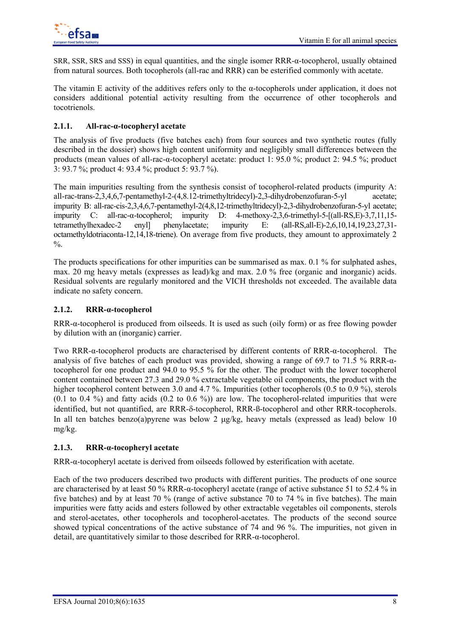SRR, SSR, SRS and SSS) in equal quantities, and the single isomer RRR-α-tocopherol, usually obtained from natural sources. Both tocopherols (all-rac and RRR) can be esterified commonly with acetate.

The vitamin E activity of the additives refers only to the  $\alpha$ -tocopherols under application, it does not considers additional potential activity resulting from the occurrence of other tocopherols and tocotrienols.

# **2.1.1. All-rac-α-tocopheryl acetate**

The analysis of five products (five batches each) from four sources and two synthetic routes (fully described in the dossier) shows high content uniformity and negligibly small differences between the products (mean values of all-rac-α-tocopheryl acetate: product 1: 95.0 %; product 2: 94.5 %; product 3: 93.7 %; product 4: 93.4 %; product 5: 93.7 %).

The main impurities resulting from the synthesis consist of tocopherol-related products (impurity A: all-rac-trans-2,3,4,6,7-pentamethyl-2-(4,8.12-trimethyltridecyl)-2,3-dihydrobenzofuran-5-yl acetate; impurity B: all-rac-cis-2,3,4,6,7-pentamethyl-2(4,8,12-trimethyltridecyl)-2,3-dihydrobenzofuran-5-yl acetate; impurity C: all-rac-α-tocopherol; impurity D: 4-methoxy-2,3,6-trimethyl-5-[(all-RS,E)-3,7,11,15 tetramethylhexadec-2 enyl] phenylacetate; impurity E: (all-RS,all-E)-2,6,10,14,19,23,27,31 octamethyldotriaconta-12,14,18-triene). On average from five products, they amount to approximately 2  $\%$ .

The products specifications for other impurities can be summarised as max. 0.1 % for sulphated ashes, max. 20 mg heavy metals (expresses as lead)/kg and max. 2.0 % free (organic and inorganic) acids. Residual solvents are regularly monitored and the VICH thresholds not exceeded. The available data indicate no safety concern.

# **2.1.2. RRR-α-tocopherol**

RRR-α-tocopherol is produced from oilseeds. It is used as such (oily form) or as free flowing powder by dilution with an (inorganic) carrier.

Two RRR-α-tocopherol products are characterised by different contents of RRR-α-tocopherol. The analysis of five batches of each product was provided, showing a range of 69.7 to 71.5 % RRR-αtocopherol for one product and 94.0 to 95.5 % for the other. The product with the lower tocopherol content contained between 27.3 and 29.0 % extractable vegetable oil components, the product with the higher tocopherol content between 3.0 and 4.7 %. Impurities (other tocopherols (0.5 to 0.9 %), sterols  $(0.1 \text{ to } 0.4 \text{ %})$  and fatty acids  $(0.2 \text{ to } 0.6 \text{ %})$  are low. The tocopherol-related impurities that were identified, but not quantified, are RRR-δ-tocopherol, RRR-ß-tocopherol and other RRR-tocopherols. In all ten batches benzo(a)pyrene was below 2 μg/kg, heavy metals (expressed as lead) below 10 mg/kg.

### **2.1.3. RRR-α-tocopheryl acetate**

RRR-α-tocopheryl acetate is derived from oilseeds followed by esterification with acetate.

Each of the two producers described two products with different purities. The products of one source are characterised by at least 50 % RRR-α-tocopheryl acetate (range of active substance 51 to 52.4 % in five batches) and by at least 70 % (range of active substance 70 to 74 % in five batches). The main impurities were fatty acids and esters followed by other extractable vegetables oil components, sterols and sterol-acetates, other tocopherols and tocopherol-acetates. The products of the second source showed typical concentrations of the active substance of 74 and 96 %. The impurities, not given in detail, are quantitatively similar to those described for RRR-α-tocopherol.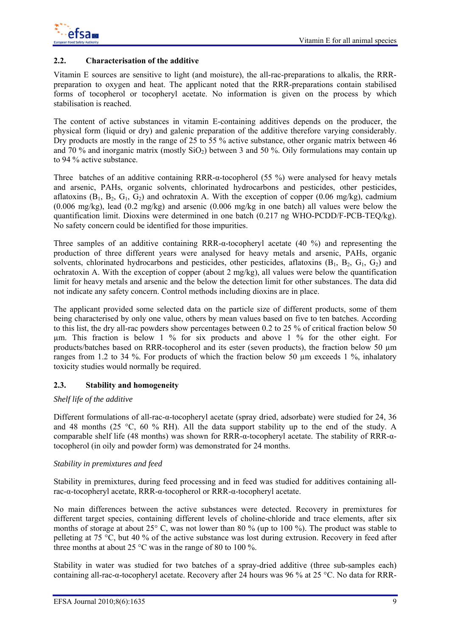

#### **2.2. Characterisation of the additive**

Vitamin E sources are sensitive to light (and moisture), the all-rac-preparations to alkalis, the RRRpreparation to oxygen and heat. The applicant noted that the RRR-preparations contain stabilised forms of tocopherol or tocopheryl acetate. No information is given on the process by which stabilisation is reached.

The content of active substances in vitamin E-containing additives depends on the producer, the physical form (liquid or dry) and galenic preparation of the additive therefore varying considerably. Dry products are mostly in the range of 25 to 55 % active substance, other organic matrix between 46 and 70 % and inorganic matrix (mostly  $SiO<sub>2</sub>$ ) between 3 and 50 %. Oily formulations may contain up to 94 % active substance.

Three batches of an additive containing RRR-α-tocopherol (55 %) were analysed for heavy metals and arsenic, PAHs, organic solvents, chlorinated hydrocarbons and pesticides, other pesticides, aflatoxins  $(B_1, B_2, G_1, G_2)$  and ochratoxin A. With the exception of copper (0.06 mg/kg), cadmium (0.006 mg/kg), lead (0.2 mg/kg) and arsenic (0.006 mg/kg in one batch) all values were below the quantification limit. Dioxins were determined in one batch (0.217 ng WHO-PCDD/F-PCB-TEQ/kg). No safety concern could be identified for those impurities.

Three samples of an additive containing RRR-α-tocopheryl acetate (40 %) and representing the production of three different years were analysed for heavy metals and arsenic, PAHs, organic solvents, chlorinated hydrocarbons and pesticides, other pesticides, aflatoxins  $(B_1, B_2, G_1, G_2)$  and ochratoxin A. With the exception of copper (about 2 mg/kg), all values were below the quantification limit for heavy metals and arsenic and the below the detection limit for other substances. The data did not indicate any safety concern. Control methods including dioxins are in place.

The applicant provided some selected data on the particle size of different products, some of them being characterised by only one value, others by mean values based on five to ten batches. According to this list, the dry all-rac powders show percentages between 0.2 to 25 % of critical fraction below 50 µm. This fraction is below 1 % for six products and above 1 % for the other eight. For products/batches based on RRR-tocopherol and its ester (seven products), the fraction below 50 µm ranges from 1.2 to 34 %. For products of which the fraction below 50 µm exceeds 1 %, inhalatory toxicity studies would normally be required.

### **2.3. Stability and homogeneity**

#### *Shelf life of the additive*

Different formulations of all-rac-α-tocopheryl acetate (spray dried, adsorbate) were studied for 24, 36 and 48 months (25  $\degree$ C, 60 % RH). All the data support stability up to the end of the study. A comparable shelf life (48 months) was shown for RRR-α-tocopheryl acetate. The stability of RRR-αtocopherol (in oily and powder form) was demonstrated for 24 months.

#### *Stability in premixtures and feed*

Stability in premixtures, during feed processing and in feed was studied for additives containing allrac-α-tocopheryl acetate, RRR-α-tocopherol or RRR-α-tocopheryl acetate.

No main differences between the active substances were detected. Recovery in premixtures for different target species, containing different levels of choline-chloride and trace elements, after six months of storage at about 25° C, was not lower than 80 % (up to 100 %). The product was stable to pelleting at 75 °C, but 40 % of the active substance was lost during extrusion. Recovery in feed after three months at about 25  $\degree$ C was in the range of 80 to 100 %.

Stability in water was studied for two batches of a spray-dried additive (three sub-samples each) containing all-rac-α-tocopheryl acetate. Recovery after 24 hours was 96 % at 25 °C. No data for RRR-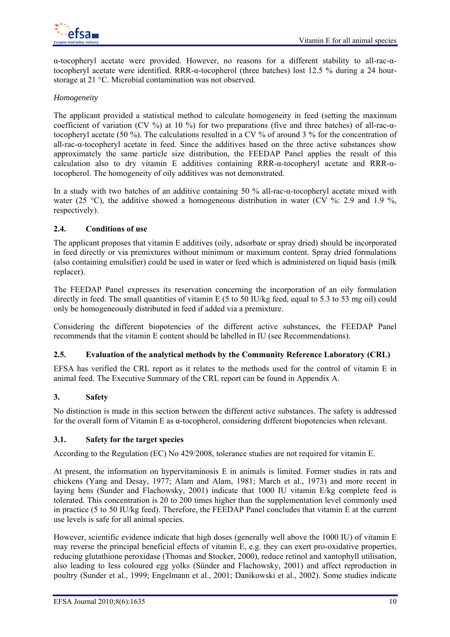

α-tocopheryl acetate were provided. However, no reasons for a different stability to all-rac-αtocopheryl acetate were identified. RRR-α-tocopherol (three batches) lost 12.5 % during a 24 hourstorage at 21 °C. Microbial contamination was not observed.

### *Homogeneity*

The applicant provided a statistical method to calculate homogeneity in feed (setting the maximum coefficient of variation (CV %) at 10 %) for two preparations (five and three batches) of all-rac- $\alpha$ tocopheryl acetate (50 %). The calculations resulted in a CV % of around 3 % for the concentration of all-rac-α-tocopheryl acetate in feed. Since the additives based on the three active substances show approximately the same particle size distribution, the FEEDAP Panel applies the result of this calculation also to dry vitamin E additives containing  $RRR-\alpha$ -tocopheryl acetate and  $RRR-\alpha$ tocopherol. The homogeneity of oily additives was not demonstrated.

In a study with two batches of an additive containing 50 % all-rac-α-tocopheryl acetate mixed with water (25 °C), the additive showed a homogeneous distribution in water (CV %: 2.9 and 1.9 %, respectively).

#### **2.4. Conditions of use**

The applicant proposes that vitamin E additives (oily, adsorbate or spray dried) should be incorporated in feed directly or via premixtures without minimum or maximum content. Spray dried formulations (also containing emulsifier) could be used in water or feed which is administered on liquid basis (milk replacer).

The FEEDAP Panel expresses its reservation concerning the incorporation of an oily formulation directly in feed. The small quantities of vitamin E (5 to 50 IU/kg feed, equal to 5.3 to 53 mg oil) could only be homogeneously distributed in feed if added via a premixture.

Considering the different biopotencies of the different active substances, the FEEDAP Panel recommends that the vitamin E content should be labelled in IU (see Recommendations).

### **2.5. Evaluation of the analytical methods by the Community Reference Laboratory (CRL)**

EFSA has verified the CRL report as it relates to the methods used for the control of vitamin E in animal feed. The Executive Summary of the CRL report can be found in Appendix A.

### **3. Safety**

No distinction is made in this section between the different active substances. The safety is addressed for the overall form of Vitamin E as α-tocopherol, considering different biopotencies when relevant.

#### **3.1. Safety for the target species**

According to the Regulation (EC) No 429/2008, tolerance studies are not required for vitamin E.

At present, the information on hypervitaminosis E in animals is limited. Former studies in rats and chickens (Yang and Desay, 1977; Alam and Alam, 1981; March et al., 1973) and more recent in laying hens (Sunder and Flachowsky, 2001) indicate that 1000 IU vitamin E/kg complete feed is tolerated. This concentration is 20 to 200 times higher than the supplementation level commonly used in practice (5 to 50 IU/kg feed). Therefore, the FEEDAP Panel concludes that vitamin E at the current use levels is safe for all animal species.

However, scientific evidence indicate that high doses (generally well above the 1000 IU) of vitamin E may reverse the principal beneficial effects of vitamin E, e.g. they can exert pro-oxidative properties, reducing glutathione peroxidase (Thomas and Stocker, 2000), reduce retinol and xantophyll utilisation, also leading to less coloured egg yolks (Sünder and Flachowsky, 2001) and affect reproduction in poultry (Sunder et al., 1999; Engelmann et al., 2001; Danikowski et al., 2002). Some studies indicate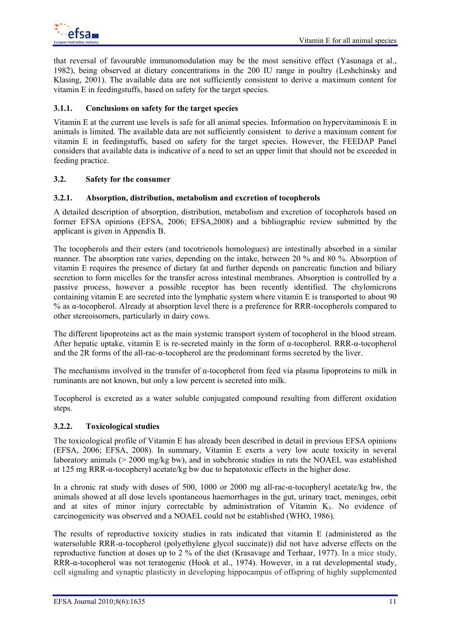that reversal of favourable immunomodulation may be the most sensitive effect (Yasunaga et al., 1982), being observed at dietary concentrations in the 200 IU range in poultry (Leshchinsky and Klasing, 2001). The available data are not sufficiently consistent to derive a maximum content for vitamin E in feedingstuffs, based on safety for the target species.

## **3.1.1. Conclusions on safety for the target species**

Vitamin E at the current use levels is safe for all animal species. Information on hypervitaminosis E in animals is limited. The available data are not sufficiently consistent to derive a maximum content for vitamin E in feedingstuffs, based on safety for the target species. However, the FEEDAP Panel considers that available data is indicative of a need to set an upper limit that should not be exceeded in feeding practice.

### **3.2. Safety for the consumer**

### **3.2.1. Absorption, distribution, metabolism and excretion of tocopherols**

A detailed description of absorption, distribution, metabolism and excretion of tocopherols based on former EFSA opinions (EFSA, 2006; EFSA,2008) and a bibliographic review submitted by the applicant is given in Appendix B.

The tocopherols and their esters (and tocotrienols homologues) are intestinally absorbed in a similar manner. The absorption rate varies, depending on the intake, between 20 % and 80 %. Absorption of vitamin E requires the presence of dietary fat and further depends on pancreatic function and biliary secretion to form micelles for the transfer across intestinal membranes. Absorption is controlled by a passive process, however a possible receptor has been recently identified. The chylomicrons containing vitamin E are secreted into the lymphatic system where vitamin E is transported to about 90 % as α-tocopherol. Already at absorption level there is a preference for RRR-tocopherols compared to other stereoisomers, particularly in dairy cows.

The different lipoproteins act as the main systemic transport system of tocopherol in the blood stream. After hepatic uptake, vitamin E is re-secreted mainly in the form of α-tocopherol. RRR-α-tocopherol and the 2R forms of the all-rac-α-tocopherol are the predominant forms secreted by the liver.

The mechanisms involved in the transfer of  $\alpha$ -tocopherol from feed via plasma lipoproteins to milk in ruminants are not known, but only a low percent is secreted into milk.

Tocopherol is excreted as a water soluble conjugated compound resulting from different oxidation steps.

### **3.2.2. Toxicological studies**

The toxicological profile of Vitamin E has already been described in detail in previous EFSA opinions (EFSA, 2006; EFSA, 2008). In summary, Vitamin E exerts a very low acute toxicity in several laboratory animals (> 2000 mg/kg bw), and in subchronic studies in rats the NOAEL was established at 125 mg RRR-α-tocopheryl acetate/kg bw due to hepatotoxic effects in the higher dose.

In a chronic rat study with doses of 500, 1000 or 2000 mg all-rac-α-tocopheryl acetate/kg bw, the animals showed at all dose levels spontaneous haemorrhages in the gut, urinary tract, meninges, orbit and at sites of minor injury correctable by administration of Vitamin  $K_3$ . No evidence of carcinogenicity was observed and a NOAEL could not be established (WHO, 1986).

The results of reproductive toxicity studies in rats indicated that vitamin E (administered as the watersoluble RRR-α-tocopherol (polyethylene glycol succinate)) did not have adverse effects on the reproductive function at doses up to 2 % of the diet (Krasavage and Terhaar, 1977). In a mice study, RRR-α-tocopherol was not teratogenic (Hook et al., 1974). However, in a rat developmental study, cell signaling and synaptic plasticity in developing hippocampus of offspring of highly supplemented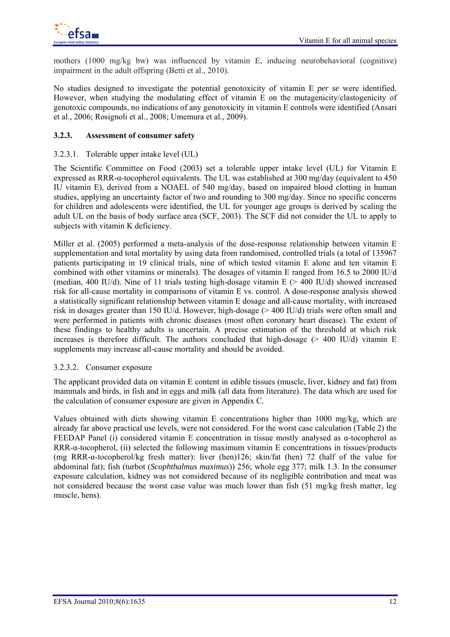mothers (1000 mg/kg bw) was influenced by vitamin E, inducing neurobehavioral (cognitive) impairment in the adult offspring (Betti et al., 2010).

No studies designed to investigate the potential genotoxicity of vitamin E *per se* were identified. However, when studying the modulating effect of vitamin E on the mutagenicity/clastogenicity of genotoxic compounds, no indications of any genotoxicity in vitamin E controls were identified (Ansari et al., 2006; Rosignoli et al., 2008; Umemura et al., 2009).

### **3.2.3. Assessment of consumer safety**

#### 3.2.3.1. Tolerable upper intake level (UL)

The Scientific Committee on Food (2003) set a tolerable upper intake level (UL) for Vitamin E expressed as RRR-α-tocopherol equivalents. The UL was established at 300 mg/day (equivalent to 450 IU vitamin E), derived from a NOAEL of 540 mg/day, based on impaired blood clotting in human studies, applying an uncertainty factor of two and rounding to 300 mg/day. Since no specific concerns for children and adolescents were identified, the UL for younger age groups is derived by scaling the adult UL on the basis of body surface area (SCF, 2003). The SCF did not consider the UL to apply to subjects with vitamin K deficiency.

Miller et al. (2005) performed a meta-analysis of the dose-response relationship between vitamin E supplementation and total mortality by using data from randomised, controlled trials (a total of 135967 patients participating in 19 clinical trials, nine of which tested vitamin E alone and ten vitamin E combined with other vitamins or minerals). The dosages of vitamin E ranged from 16.5 to 2000 IU/d (median, 400 IU/d). Nine of 11 trials testing high-dosage vitamin E  $(> 400$  IU/d) showed increased risk for all-cause mortality in comparisons of vitamin E vs. control. A dose-response analysis showed a statistically significant relationship between vitamin E dosage and all-cause mortality, with increased risk in dosages greater than 150 IU/d. However, high-dosage (> 400 IU/d) trials were often small and were performed in patients with chronic diseases (most often coronary heart disease). The extent of these findings to healthy adults is uncertain. A precise estimation of the threshold at which risk increases is therefore difficult. The authors concluded that high-dosage  $(> 400 \text{ IU/d})$  vitamin E supplements may increase all-cause mortality and should be avoided.

#### 3.2.3.2. Consumer exposure

The applicant provided data on vitamin E content in edible tissues (muscle, liver, kidney and fat) from mammals and birds, in fish and in eggs and milk (all data from literature). The data which are used for the calculation of consumer exposure are given in Appendix C.

Values obtained with diets showing vitamin E concentrations higher than 1000 mg/kg, which are already far above practical use levels, were not considered. For the worst case calculation (Table 2) the FEEDAP Panel (i) considered vitamin E concentration in tissue mostly analysed as  $α$ -tocopherol as RRR-α-tocopherol, (ii) selected the following maximum vitamin E concentrations in tissues/products (mg RRR-α-tocopherol/kg fresh matter): liver (hen)126; skin/fat (hen) 72 (half of the value for abdominal fat); fish (turbot (*Scophthalmus maximus*)) 256; whole egg 377; milk 1.3. In the consumer exposure calculation, kidney was not considered because of its negligible contribution and meat was not considered because the worst case value was much lower than fish (51 mg/kg fresh matter, leg muscle, hens).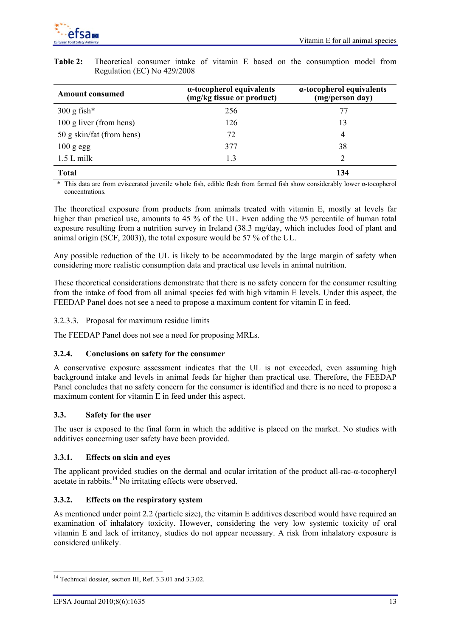

| <b>Amount consumed</b>    | $\alpha$ -tocopherol equivalents<br>(mg/kg tissue or product) | $\alpha$ -tocopherol equivalents<br>(mg/person day) |  |  |
|---------------------------|---------------------------------------------------------------|-----------------------------------------------------|--|--|
| $300 \text{ g fish*}$     | 256                                                           | 77                                                  |  |  |
| 100 g liver (from hens)   | 126                                                           | 13                                                  |  |  |
| 50 g skin/fat (from hens) | 72                                                            | $\overline{4}$                                      |  |  |
| $100$ g egg               | 377                                                           | 38                                                  |  |  |
| $1.5 L$ milk              | 1.3                                                           |                                                     |  |  |
| <b>Total</b>              |                                                               | 134                                                 |  |  |

**Table 2:** Theoretical consumer intake of vitamin E based on the consumption model from Regulation (EC) No 429/2008

 \* This data are from eviscerated juvenile whole fish, edible flesh from farmed fish show considerably lower α-tocopherol concentrations.

The theoretical exposure from products from animals treated with vitamin E, mostly at levels far higher than practical use, amounts to 45 % of the UL. Even adding the 95 percentile of human total exposure resulting from a nutrition survey in Ireland (38.3 mg/day, which includes food of plant and animal origin (SCF, 2003)), the total exposure would be 57 % of the UL.

Any possible reduction of the UL is likely to be accommodated by the large margin of safety when considering more realistic consumption data and practical use levels in animal nutrition.

These theoretical considerations demonstrate that there is no safety concern for the consumer resulting from the intake of food from all animal species fed with high vitamin E levels. Under this aspect, the FEEDAP Panel does not see a need to propose a maximum content for vitamin E in feed.

### 3.2.3.3. Proposal for maximum residue limits

The FEEDAP Panel does not see a need for proposing MRLs.

### **3.2.4. Conclusions on safety for the consumer**

A conservative exposure assessment indicates that the UL is not exceeded, even assuming high background intake and levels in animal feeds far higher than practical use. Therefore, the FEEDAP Panel concludes that no safety concern for the consumer is identified and there is no need to propose a maximum content for vitamin E in feed under this aspect.

### **3.3. Safety for the user**

The user is exposed to the final form in which the additive is placed on the market. No studies with additives concerning user safety have been provided.

#### **3.3.1. Effects on skin and eyes**

The applicant provided studies on the dermal and ocular irritation of the product all-rac-α-tocopheryl acetate in rabbits.<sup>14</sup> No irritating effects were observed.

#### **3.3.2. Effects on the respiratory system**

As mentioned under point 2.2 (particle size), the vitamin E additives described would have required an examination of inhalatory toxicity. However, considering the very low systemic toxicity of oral vitamin E and lack of irritancy, studies do not appear necessary. A risk from inhalatory exposure is considered unlikely.

 $\overline{\phantom{a}}$ 

<sup>&</sup>lt;sup>14</sup> Technical dossier, section III, Ref. 3.3.01 and 3.3.02.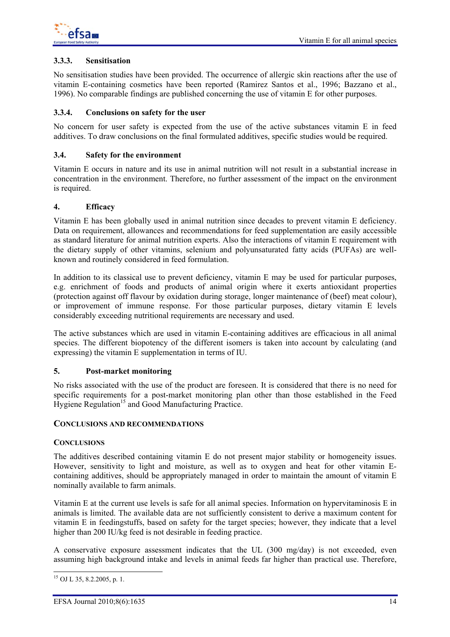

### **3.3.3. Sensitisation**

No sensitisation studies have been provided. The occurrence of allergic skin reactions after the use of vitamin E-containing cosmetics have been reported (Ramirez Santos et al., 1996; Bazzano et al., 1996). No comparable findings are published concerning the use of vitamin E for other purposes.

#### **3.3.4. Conclusions on safety for the user**

No concern for user safety is expected from the use of the active substances vitamin E in feed additives. To draw conclusions on the final formulated additives, specific studies would be required.

#### **3.4. Safety for the environment**

Vitamin E occurs in nature and its use in animal nutrition will not result in a substantial increase in concentration in the environment. Therefore, no further assessment of the impact on the environment is required.

#### **4. Efficacy**

Vitamin E has been globally used in animal nutrition since decades to prevent vitamin E deficiency. Data on requirement, allowances and recommendations for feed supplementation are easily accessible as standard literature for animal nutrition experts. Also the interactions of vitamin E requirement with the dietary supply of other vitamins, selenium and polyunsaturated fatty acids (PUFAs) are wellknown and routinely considered in feed formulation.

In addition to its classical use to prevent deficiency, vitamin E may be used for particular purposes, e.g. enrichment of foods and products of animal origin where it exerts antioxidant properties (protection against off flavour by oxidation during storage, longer maintenance of (beef) meat colour), or improvement of immune response. For those particular purposes, dietary vitamin E levels considerably exceeding nutritional requirements are necessary and used.

The active substances which are used in vitamin E-containing additives are efficacious in all animal species. The different biopotency of the different isomers is taken into account by calculating (and expressing) the vitamin E supplementation in terms of IU.

#### **5. Post-market monitoring**

No risks associated with the use of the product are foreseen. It is considered that there is no need for specific requirements for a post-market monitoring plan other than those established in the Feed Hygiene Regulation<sup>15</sup> and Good Manufacturing Practice.

#### **CONCLUSIONS AND RECOMMENDATIONS**

#### **CONCLUSIONS**

The additives described containing vitamin E do not present major stability or homogeneity issues. However, sensitivity to light and moisture, as well as to oxygen and heat for other vitamin Econtaining additives, should be appropriately managed in order to maintain the amount of vitamin E nominally available to farm animals.

Vitamin E at the current use levels is safe for all animal species. Information on hypervitaminosis E in animals is limited. The available data are not sufficiently consistent to derive a maximum content for vitamin E in feedingstuffs, based on safety for the target species; however, they indicate that a level higher than 200 IU/kg feed is not desirable in feeding practice.

A conservative exposure assessment indicates that the UL (300 mg/day) is not exceeded, even assuming high background intake and levels in animal feeds far higher than practical use. Therefore,

 $\overline{\phantom{a}}$  $^{15}$  OJ L 35, 8.2.2005, p. 1.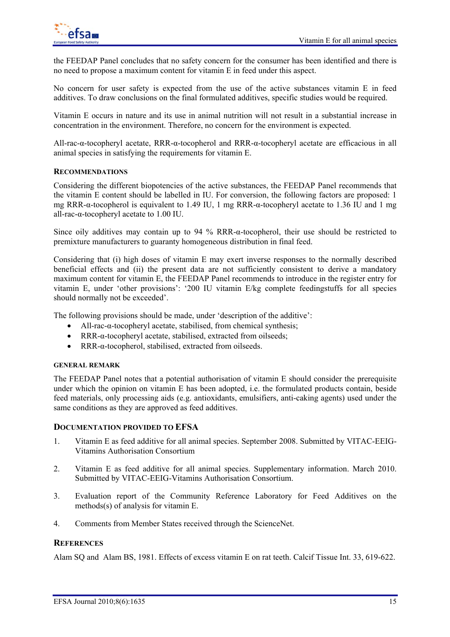

the FEEDAP Panel concludes that no safety concern for the consumer has been identified and there is no need to propose a maximum content for vitamin E in feed under this aspect.

No concern for user safety is expected from the use of the active substances vitamin E in feed additives. To draw conclusions on the final formulated additives, specific studies would be required.

Vitamin E occurs in nature and its use in animal nutrition will not result in a substantial increase in concentration in the environment. Therefore, no concern for the environment is expected.

All-rac-α-tocopheryl acetate, RRR-α-tocopherol and RRR-α-tocopheryl acetate are efficacious in all animal species in satisfying the requirements for vitamin E.

#### **RECOMMENDATIONS**

Considering the different biopotencies of the active substances, the FEEDAP Panel recommends that the vitamin E content should be labelled in IU. For conversion, the following factors are proposed: 1 mg RRR-α-tocopherol is equivalent to 1.49 IU, 1 mg RRR-α-tocopheryl acetate to 1.36 IU and 1 mg all-rac-α-tocopheryl acetate to 1.00 IU.

Since oily additives may contain up to 94 % RRR-α-tocopherol, their use should be restricted to premixture manufacturers to guaranty homogeneous distribution in final feed.

Considering that (i) high doses of vitamin E may exert inverse responses to the normally described beneficial effects and (ii) the present data are not sufficiently consistent to derive a mandatory maximum content for vitamin E, the FEEDAP Panel recommends to introduce in the register entry for vitamin E, under 'other provisions': '200 IU vitamin E/kg complete feedingstuffs for all species should normally not be exceeded'.

The following provisions should be made, under 'description of the additive':

- All-rac-α-tocopheryl acetate, stabilised, from chemical synthesis;
- RRR-α-tocopheryl acetate, stabilised, extracted from oilseeds;
- RRR-α-tocopherol, stabilised, extracted from oilseeds.

#### **GENERAL REMARK**

The FEEDAP Panel notes that a potential authorisation of vitamin E should consider the prerequisite under which the opinion on vitamin E has been adopted, i.e. the formulated products contain, beside feed materials, only processing aids (e.g. antioxidants, emulsifiers, anti-caking agents) used under the same conditions as they are approved as feed additives.

#### **DOCUMENTATION PROVIDED TO EFSA**

- 1. Vitamin E as feed additive for all animal species. September 2008. Submitted by VITAC-EEIG-Vitamins Authorisation Consortium
- 2. Vitamin E as feed additive for all animal species. Supplementary information. March 2010. Submitted by VITAC-EEIG-Vitamins Authorisation Consortium.
- 3. Evaluation report of the Community Reference Laboratory for Feed Additives on the methods(s) of analysis for vitamin E.
- 4. Comments from Member States received through the ScienceNet.

### **REFERENCES**

Alam SQ and Alam BS, 1981. Effects of excess vitamin E on rat teeth. Calcif Tissue Int. 33, 619-622.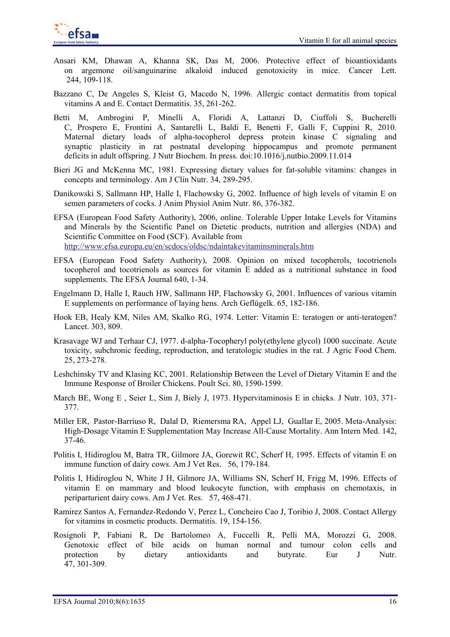

- Ansari KM, Dhawan A, Khanna SK, Das M, 2006. Protective effect of bioantioxidants on argemone oil/sanguinarine alkaloid induced genotoxicity in mice. Cancer Lett. 244, 109-118.
- Bazzano C, De Angeles S, Kleist G, Macedo N, 1996. Allergic contact dermatitis from topical vitamins A and E. Contact Dermatitis. 35, 261-262.
- Betti M, Ambrogini P, Minelli A, Floridi A, Lattanzi D, Ciuffoli S, Bucherelli C, Prospero E, Frontini A, Santarelli L, Baldi E, Benetti F, Galli F, Cuppini R, 2010. Maternal dietary loads of alpha-tocopherol depress protein kinase C signaling and synaptic plasticity in rat postnatal developing hippocampus and promote permanent deficits in adult offspring. J Nutr Biochem. In press. doi:10.1016/j.nutbio.2009.11.014
- Bieri JG and McKenna MC, 1981. Expressing dietary values for fat-soluble vitamins: changes in concepts and terminology. Am J Clin Nutr. 34, 289-295.
- Danikowski S, Sallmann HP, Halle I, Flachowsky G, 2002. Influence of high levels of vitamin E on semen parameters of cocks. J Anim Physiol Anim Nutr. 86, 376-382.
- EFSA (European Food Safety Authority), 2006, online. Tolerable Upper Intake Levels for Vitamins and Minerals by the Scientific Panel on Dietetic products, nutrition and allergies (NDA) and Scientific Committee on Food (SCF). Available from http://www.efsa.europa.eu/en/scdocs/oldsc/ndaintakevitaminsminerals.htm
- EFSA (European Food Safety Authority), 2008. Opinion on mixed tocopherols, tocotrienols tocopherol and tocotrienols as sources for vitamin E added as a nutritional substance in food supplements. The EFSA Journal 640, 1-34.
- Engelmann D, Halle I, Rauch HW, Sallmann HP, Flachowsky G, 2001. Influences of various vitamin E supplements on performance of laying hens. Arch Geflügelk. 65, 182-186.
- Hook EB, Healy KM, Niles AM, Skalko RG, 1974. Letter: Vitamin E: teratogen or anti-teratogen? Lancet. 303, 809.
- Krasavage WJ and Terhaar CJ, 1977. d-alpha-Tocopheryl poly(ethylene glycol) 1000 succinate. Acute toxicity, subchronic feeding, reproduction, and teratologic studies in the rat. J Agric Food Chem. 25, 273-278.
- Leshchinsky TV and Klasing KC, 2001. Relationship Between the Level of Dietary Vitamin E and the Immune Response of Broiler Chickens. Poult Sci. 80, 1590-1599.
- March BE, Wong E, Seier L, Sim J, Biely J, 1973. Hypervitaminosis E in chicks. J Nutr. 103, 371-377.
- Miller ER, Pastor-Barriuso R, Dalal D, Riemersma RA, Appel LJ, Guallar E, 2005. Meta-Analysis: High-Dosage Vitamin E Supplementation May Increase All-Cause Mortality. Ann Intern Med. 142, 37-46.
- Politis I, Hidiroglou M, Batra TR, Gilmore JA, Gorewit RC, Scherf H, 1995. Effects of vitamin E on immune function of dairy cows. Am J Vet Res. 56, 179-184.
- Politis I, Hidiroglou N, White J H, Gilmore JA, Williams SN, Scherf H, Frigg M, 1996. Effects of vitamin E on mammary and blood leukocyte function, with emphasis on chemotaxis, in periparturient dairy cows. Am J Vet. Res. 57, 468-471.
- Ramirez Santos A, Fernandez-Redondo V, Perez L, Concheiro Cao J, Toribio J, 2008. Contact Allergy for vitamins in cosmetic products. Dermatitis. 19, 154-156.
- Rosignoli P, Fabiani R, De Bartolomeo A, Fuccelli R, Pelli MA, Morozzi G, 2008. Genotoxic effect of bile acids on human normal and tumour colon cells and protection by dietary antioxidants and butyrate. Eur J Nutr. 47, 301-309.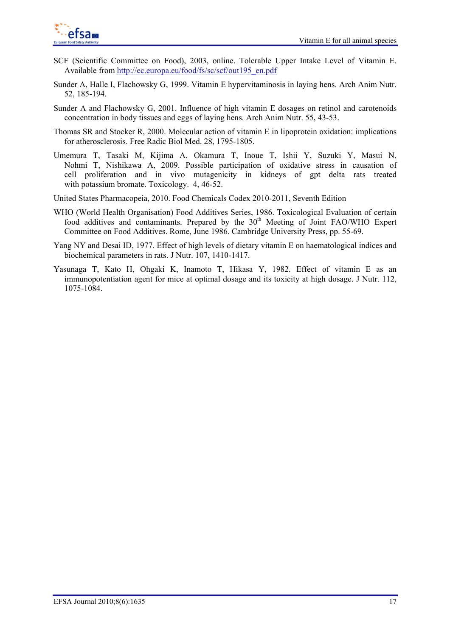

- SCF (Scientific Committee on Food), 2003, online. Tolerable Upper Intake Level of Vitamin E. Available from http://ec.europa.eu/food/fs/sc/scf/out195\_en.pdf
- Sunder A, Halle I, Flachowsky G, 1999. Vitamin E hypervitaminosis in laying hens. Arch Anim Nutr. 52, 185-194.
- Sunder A and Flachowsky G, 2001. Influence of high vitamin E dosages on retinol and carotenoids concentration in body tissues and eggs of laying hens. Arch Anim Nutr. 55, 43-53.
- Thomas SR and Stocker R, 2000. Molecular action of vitamin E in lipoprotein oxidation: implications for atherosclerosis. Free Radic Biol Med. 28, 1795-1805.
- Umemura T, Tasaki M, Kijima A, Okamura T, Inoue T, Ishii Y, Suzuki Y, Masui N, Nohmi T, Nishikawa A, 2009. Possible participation of oxidative stress in causation of cell proliferation and in vivo mutagenicity in kidneys of gpt delta rats treated with potassium bromate. Toxicology. 4, 46-52.
- United States Pharmacopeia, 2010. Food Chemicals Codex 2010-2011, Seventh Edition
- WHO (World Health Organisation) Food Additives Series, 1986. Toxicological Evaluation of certain food additives and contaminants. Prepared by the  $30<sup>th</sup>$  Meeting of Joint FAO/WHO Expert Committee on Food Additives. Rome, June 1986. Cambridge University Press, pp. 55-69.
- Yang NY and Desai ID, 1977. Effect of high levels of dietary vitamin E on haematological indices and biochemical parameters in rats. J Nutr. 107, 1410-1417.
- Yasunaga T, Kato H, Ohgaki K, Inamoto T, Hikasa Y, 1982. Effect of vitamin E as an immunopotentiation agent for mice at optimal dosage and its toxicity at high dosage. J Nutr. 112, 1075-1084.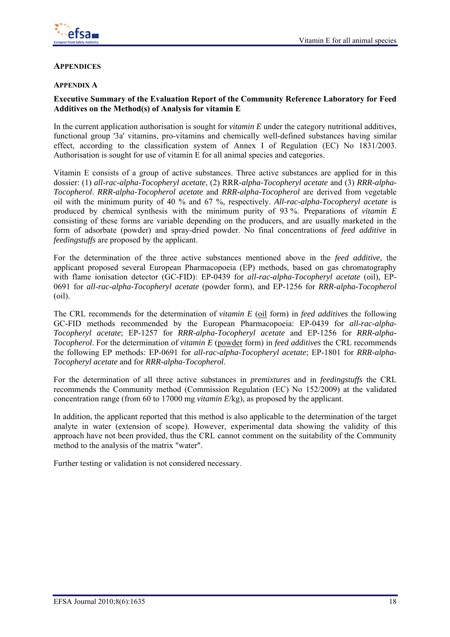

### **APPENDICES**

#### **APPENDIX A**

# **Executive Summary of the Evaluation Report of the Community Reference Laboratory for Feed Additives on the Method(s) of Analysis for vitamin E**

In the current application authorisation is sought for *vitamin E* under the category nutritional additives, functional group '3a' vitamins, pro-vitamins and chemically well-defined substances having similar effect, according to the classification system of Annex I of Regulation (EC) No 1831/2003. Authorisation is sought for use of vitamin E for all animal species and categories.

Vitamin E consists of a group of active substances. Three active substances are applied for in this dossier: (1) *all-rac-alpha-Tocopheryl acetate*, (2) RRR*-alpha-Tocopheryl acetate* and (3) *RRR-alpha-Tocopherol*. *RRR-alpha-Tocopherol acetate* and *RRR-alpha-Tocopherol* are derived from vegetable oil with the minimum purity of 40 % and 67 %, respectively. *All-rac-alpha-Tocopheryl acetate* is produced by chemical synthesis with the minimum purity of 93 %. Preparations of *vitamin E* consisting of these forms are variable depending on the producers, and are usually marketed in the form of adsorbate (powder) and spray-dried powder. No final concentrations of *feed additive* in *feedingstuffs* are proposed by the applicant.

For the determination of the three active substances mentioned above in the *feed additive*, the applicant proposed several European Pharmacopoeia (EP) methods, based on gas chromatography with flame ionisation detector (GC-FID): EP-0439 for *all-rac-alpha-Tocopheryl acetate* (oil), EP-0691 for *all-rac-alpha-Tocopheryl acetate* (powder form), and EP-1256 for *RRR-alpha-Tocopherol* (oil).

The CRL recommends for the determination of *vitamin E* (oil form) in *feed additives* the following GC-FID methods recommended by the European Pharmacopoeia: EP-0439 for *all-rac-alpha-Tocopheryl acetate*; EP-1257 for *RRR-alpha-Tocopheryl acetate* and EP-1256 for *RRR-alpha-Tocopherol*. For the determination of *vitamin E* (powder form) in *feed additives* the CRL recommends the following EP methods: EP-0691 for *all-rac-alpha-Tocopheryl acetate*; EP-1801 for *RRR-alpha-Tocopheryl acetate* and for *RRR-alpha-Tocopherol*.

For the determination of all three active substances in *premixtures* and in *feedingstuffs* the CRL recommends the Community method (Commission Regulation (EC) No 152/2009) at the validated concentration range (from 60 to 17000 mg *vitamin E*/kg), as proposed by the applicant.

In addition, the applicant reported that this method is also applicable to the determination of the target analyte in water (extension of scope). However, experimental data showing the validity of this approach have not been provided, thus the CRL cannot comment on the suitability of the Community method to the analysis of the matrix "water".

Further testing or validation is not considered necessary.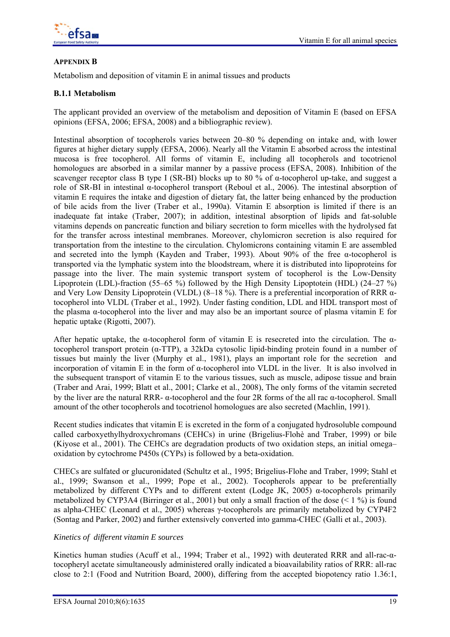

# **APPENDIX B**

Metabolism and deposition of vitamin E in animal tissues and products

## **B.1.1 Metabolism**

The applicant provided an overview of the metabolism and deposition of Vitamin E (based on EFSA opinions (EFSA, 2006; EFSA, 2008) and a bibliographic review).

Intestinal absorption of tocopherols varies between 20–80 % depending on intake and, with lower figures at higher dietary supply (EFSA, 2006). Nearly all the Vitamin E absorbed across the intestinal mucosa is free tocopherol. All forms of vitamin E, including all tocopherols and tocotrienol homologues are absorbed in a similar manner by a passive process (EFSA, 2008). Inhibition of the scavenger receptor class B type I (SR-BI) blocks up to 80 % of α-tocopherol up-take, and suggest a role of SR-BI in intestinal α-tocopherol transport (Reboul et al., 2006). The intestinal absorption of vitamin E requires the intake and digestion of dietary fat, the latter being enhanced by the production of bile acids from the liver (Traber et al., 1990a). Vitamin E absorption is limited if there is an inadequate fat intake (Traber, 2007); in addition, intestinal absorption of lipids and fat-soluble vitamins depends on pancreatic function and biliary secretion to form micelles with the hydrolysed fat for the transfer across intestinal membranes. Moreover, chylomicron secretion is also required for transportation from the intestine to the circulation. Chylomicrons containing vitamin E are assembled and secreted into the lymph (Kayden and Traber, 1993). About 90% of the free α-tocopherol is transported via the lymphatic system into the bloodstream, where it is distributed into lipoproteins for passage into the liver. The main systemic transport system of tocopherol is the Low-Density Lipoprotein (LDL)-fraction (55–65 %) followed by the High Density Lipoptotein (HDL) (24–27 %) and Very Low Density Lipoprotein (VLDL) (8–18 %). There is a preferential incorporation of RRR αtocopherol into VLDL (Traber et al., 1992). Under fasting condition, LDL and HDL transport most of the plasma  $\alpha$ -tocopherol into the liver and may also be an important source of plasma vitamin E for hepatic uptake (Rigotti, 2007).

After hepatic uptake, the  $\alpha$ -tocopherol form of vitamin E is resecreted into the circulation. The  $\alpha$ tocopherol transport protein (α-TTP), a 32kDa cytosolic lipid-binding protein found in a number of tissues but mainly the liver (Murphy et al., 1981), plays an important role for the secretion and incorporation of vitamin E in the form of α-tocopherol into VLDL in the liver. It is also involved in the subsequent transport of vitamin E to the various tissues, such as muscle, adipose tissue and brain (Traber and Arai, 1999; Blatt et al., 2001; Clarke et al., 2008), The only forms of the vitamin secreted by the liver are the natural RRR- α-tocopherol and the four 2R forms of the all rac α-tocopherol. Small amount of the other tocopherols and tocotrienol homologues are also secreted (Machlin, 1991).

Recent studies indicates that vitamin E is excreted in the form of a conjugated hydrosoluble compound called carboxyethylhydroxychromans (CEHCs) in urine (Brigelius-Flohè and Traber, 1999) or bile (Kiyose et al., 2001). The CEHCs are degradation products of two oxidation steps, an initial omega– oxidation by cytochrome P450s (CYPs) is followed by a beta-oxidation.

CHECs are sulfated or glucuronidated (Schultz et al., 1995; Brigelius-Flohe and Traber, 1999; Stahl et al., 1999; Swanson et al., 1999; Pope et al., 2002). Tocopherols appear to be preferentially metabolized by different CYPs and to different extent (Lodge JK, 2005)  $\alpha$ -tocopherols primarily metabolized by CYP3A4 (Birringer et al., 2001) but only a small fraction of the dose  $(< 1\%$ ) is found as alpha-CHEC (Leonard et al., 2005) whereas γ-tocopherols are primarily metabolized by CYP4F2 (Sontag and Parker, 2002) and further extensively converted into gamma-CHEC (Galli et al., 2003).

### *Kinetics of different vitamin E sources*

Kinetics human studies (Acuff et al., 1994; Traber et al., 1992) with deuterated RRR and all-rac-αtocopheryl acetate simultaneously administered orally indicated a bioavailability ratios of RRR: all-rac close to 2:1 (Food and Nutrition Board, 2000), differing from the accepted biopotency ratio 1.36:1,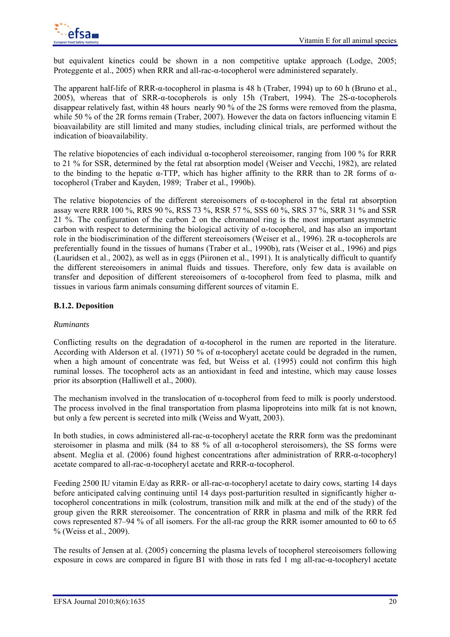but equivalent kinetics could be shown in a non competitive uptake approach (Lodge, 2005; Proteggente et al., 2005) when RRR and all-rac-α-tocopherol were administered separately.

The apparent half-life of RRR-α-tocopherol in plasma is 48 h (Traber, 1994) up to 60 h (Bruno et al., 2005), whereas that of SRR-α-tocopherols is only 15h (Trabert, 1994). The 2S-α-tocopherols disappear relatively fast, within 48 hours nearly 90 % of the 2S forms were removed from the plasma, while 50 % of the 2R forms remain (Traber, 2007). However the data on factors influencing vitamin E bioavailability are still limited and many studies, including clinical trials, are performed without the indication of bioavailability.

The relative biopotencies of each individual  $\alpha$ -tocopherol stereoisomer, ranging from 100 % for RRR to 21 % for SSR, determined by the fetal rat absorption model (Weiser and Vecchi, 1982), are related to the binding to the hepatic α-TTP, which has higher affinity to the RRR than to 2R forms of αtocopherol (Traber and Kayden, 1989; Traber et al., 1990b).

The relative biopotencies of the different stereoisomers of  $\alpha$ -tocopherol in the fetal rat absorption assay were RRR 100 %, RRS 90 %, RSS 73 %, RSR 57 %, SSS 60 %, SRS 37 %, SRR 31 % and SSR 21 %. The configuration of the carbon 2 on the chromanol ring is the most important asymmetric carbon with respect to determining the biological activity of  $\alpha$ -tocopherol, and has also an important role in the biodiscrimination of the different stereoisomers (Weiser et al., 1996). 2R α-tocopherols are preferentially found in the tissues of humans (Traber et al., 1990b), rats (Weiser et al., 1996) and pigs (Lauridsen et al., 2002), as well as in eggs (Piironen et al., 1991). It is analytically difficult to quantify the different stereoisomers in animal fluids and tissues. Therefore, only few data is available on transfer and deposition of different stereoisomers of α-tocopherol from feed to plasma, milk and tissues in various farm animals consuming different sources of vitamin E.

# **B.1.2. Deposition**

### *Ruminants*

Conflicting results on the degradation of α-tocopherol in the rumen are reported in the literature. According with Alderson et al. (1971) 50 % of α-tocopheryl acetate could be degraded in the rumen, when a high amount of concentrate was fed, but Weiss et al. (1995) could not confirm this high ruminal losses. The tocopherol acts as an antioxidant in feed and intestine, which may cause losses prior its absorption (Halliwell et al., 2000).

The mechanism involved in the translocation of α-tocopherol from feed to milk is poorly understood. The process involved in the final transportation from plasma lipoproteins into milk fat is not known, but only a few percent is secreted into milk (Weiss and Wyatt, 2003).

In both studies, in cows administered all-rac-α-tocopheryl acetate the RRR form was the predominant steroisomer in plasma and milk (84 to 88 % of all α-tocopherol steroisomers), the SS forms were absent. Meglia et al. (2006) found highest concentrations after administration of RRR-α-tocopheryl acetate compared to all-rac-α-tocopheryl acetate and RRR-α-tocopherol.

Feeding 2500 IU vitamin E/day as RRR- or all-rac-α-tocopheryl acetate to dairy cows, starting 14 days before anticipated calving continuing until 14 days post-parturition resulted in significantly higher  $\alpha$ tocopherol concentrations in milk (colostrum, transition milk and milk at the end of the study) of the group given the RRR stereoisomer. The concentration of RRR in plasma and milk of the RRR fed cows represented 87–94 % of all isomers. For the all-rac group the RRR isomer amounted to 60 to 65 % (Weiss et al., 2009).

The results of Jensen at al. (2005) concerning the plasma levels of tocopherol stereoisomers following exposure in cows are compared in figure B1 with those in rats fed 1 mg all-rac*-*α-tocopheryl acetate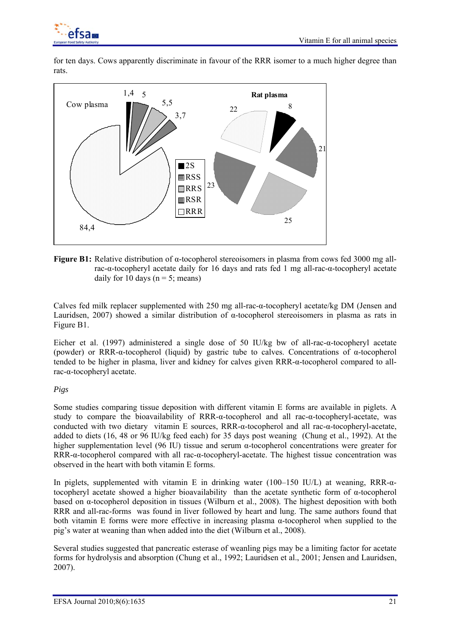

for ten days. Cows apparently discriminate in favour of the RRR isomer to a much higher degree than rats.



**Figure B1:** Relative distribution of α-tocopherol stereoisomers in plasma from cows fed 3000 mg allrac-α-tocopheryl acetate daily for 16 days and rats fed 1 mg all-rac-α-tocopheryl acetate daily for 10 days ( $n = 5$ ; means)

Calves fed milk replacer supplemented with 250 mg all-rac-α-tocopheryl acetate/kg DM (Jensen and Lauridsen, 2007) showed a similar distribution of α-tocopherol stereoisomers in plasma as rats in Figure B1.

Eicher et al. (1997) administered a single dose of 50 IU/kg bw of all-rac-α-tocopheryl acetate (powder) or RRR- $\alpha$ -tocopherol (liquid) by gastric tube to calves. Concentrations of  $\alpha$ -tocopherol tended to be higher in plasma, liver and kidney for calves given RRR-α-tocopherol compared to allrac-α-tocopheryl acetate.

### *Pigs*

Some studies comparing tissue deposition with different vitamin E forms are available in piglets. A study to compare the bioavailability of RRR-α-tocopherol and all rac-α-tocopheryl-acetate, was conducted with two dietary vitamin E sources, RRR-α-tocopherol and all rac-α-tocopheryl-acetate, added to diets (16, 48 or 96 IU/kg feed each) for 35 days post weaning (Chung et al., 1992). At the higher supplementation level (96 IU) tissue and serum  $\alpha$ -tocopherol concentrations were greater for RRR-α-tocopherol compared with all rac-α-tocopheryl-acetate. The highest tissue concentration was observed in the heart with both vitamin E forms.

In piglets, supplemented with vitamin E in drinking water (100–150 IU/L) at weaning, RRR- $\alpha$ tocopheryl acetate showed a higher bioavailability than the acetate synthetic form of α-tocopherol based on α-tocopherol deposition in tissues (Wilburn et al., 2008). The highest deposition with both RRR and all-rac-forms was found in liver followed by heart and lung. The same authors found that both vitamin E forms were more effective in increasing plasma α-tocopherol when supplied to the pig's water at weaning than when added into the diet (Wilburn et al., 2008).

Several studies suggested that pancreatic esterase of weanling pigs may be a limiting factor for acetate forms for hydrolysis and absorption (Chung et al., 1992; Lauridsen et al., 2001; Jensen and Lauridsen, 2007).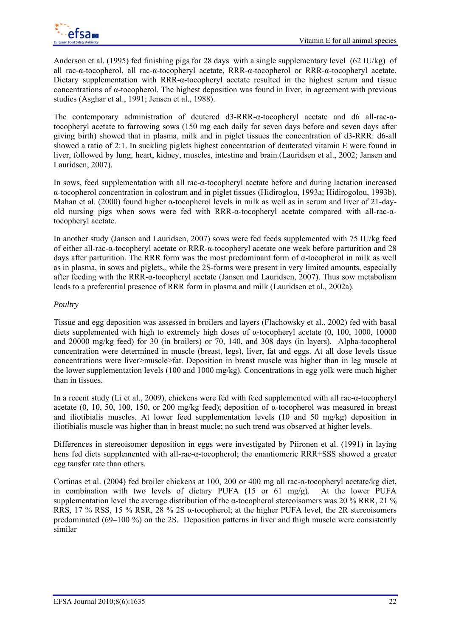

Anderson et al. (1995) fed finishing pigs for 28 days with a single supplementary level (62 IU/kg) of all rac-α-tocopherol, all rac-α-tocopheryl acetate, RRR-α-tocopherol or RRR-α-tocopheryl acetate. Dietary supplementation with RRR-α-tocopheryl acetate resulted in the highest serum and tissue concentrations of α-tocopherol. The highest deposition was found in liver, in agreement with previous studies (Asghar et al., 1991; Jensen et al., 1988).

The contemporary administration of deutered d3-RRR-α-tocopheryl acetate and d6 all-rac-αtocopheryl acetate to farrowing sows (150 mg each daily for seven days before and seven days after giving birth) showed that in plasma, milk and in piglet tissues the concentration of d3-RRR: d6-all showed a ratio of 2:1. In suckling piglets highest concentration of deuterated vitamin E were found in liver, followed by lung, heart, kidney, muscles, intestine and brain.(Lauridsen et al., 2002; Jansen and Lauridsen, 2007).

In sows, feed supplementation with all rac-α-tocopheryl acetate before and during lactation increased α-tocopherol concentration in colostrum and in piglet tissues (Hidiroglou, 1993a; Hidirogolou, 1993b). Mahan et al. (2000) found higher α-tocopherol levels in milk as well as in serum and liver of 21-dayold nursing pigs when sows were fed with RRR-α-tocopheryl acetate compared with all-rac-αtocopheryl acetate.

In another study (Jansen and Lauridsen, 2007) sows were fed feeds supplemented with 75 IU/kg feed of either all-rac-α-tocopheryl acetate or RRR-α-tocopheryl acetate one week before parturition and 28 days after parturition. The RRR form was the most predominant form of α-tocopherol in milk as well as in plasma, in sows and piglets,, while the 2S-forms were present in very limited amounts, especially after feeding with the RRR-α-tocopheryl acetate (Jansen and Lauridsen, 2007). Thus sow metabolism leads to a preferential presence of RRR form in plasma and milk (Lauridsen et al., 2002a).

### *Poultry*

Tissue and egg deposition was assessed in broilers and layers (Flachowsky et al., 2002) fed with basal diets supplemented with high to extremely high doses of α-tocopheryl acetate (0, 100, 1000, 10000 and 20000 mg/kg feed) for 30 (in broilers) or 70, 140, and 308 days (in layers). Alpha-tocopherol concentration were determined in muscle (breast, legs), liver, fat and eggs. At all dose levels tissue concentrations were liver>muscle>fat. Deposition in breast muscle was higher than in leg muscle at the lower supplementation levels (100 and 1000 mg/kg). Concentrations in egg yolk were much higher than in tissues.

In a recent study (Li et al., 2009), chickens were fed with feed supplemented with all rac-α-tocopheryl acetate (0, 10, 50, 100, 150, or 200 mg/kg feed); deposition of  $\alpha$ -tocopherol was measured in breast and iliotibialis muscles. At lower feed supplementation levels (10 and 50 mg/kg) deposition in iliotibialis muscle was higher than in breast mucle; no such trend was observed at higher levels.

Differences in stereoisomer deposition in eggs were investigated by Piironen et al. (1991) in laying hens fed diets supplemented with all-rac-α-tocopherol; the enantiomeric RRR+SSS showed a greater egg tansfer rate than others.

Cortinas et al. (2004) fed broiler chickens at 100, 200 or 400 mg all rac-α-tocopheryl acetate/kg diet, in combination with two levels of dietary PUFA (15 or 61 mg/g). At the lower PUFA supplementation level the average distribution of the α-tocopherol stereoisomers was 20 % RRR, 21 % RRS, 17 % RSS, 15 % RSR, 28 % 2S α-tocopherol; at the higher PUFA level, the 2R stereoisomers predominated (69–100 %) on the 2S. Deposition patterns in liver and thigh muscle were consistently similar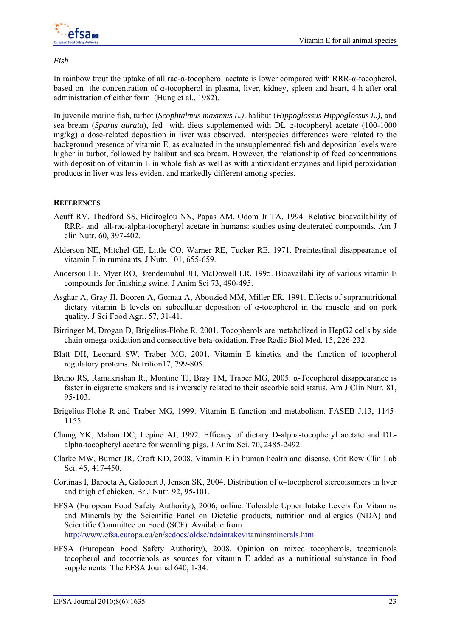

*Fish* 

In rainbow trout the uptake of all rac-α-tocopherol acetate is lower compared with RRR-α-tocopherol, based on the concentration of α-tocopherol in plasma, liver, kidney, spleen and heart, 4 h after oral administration of either form (Hung et al., 1982).

In juvenile marine fish, turbot (*Scophtalmus maximus L.),* halibut (*Hippoglossus Hippoglossus L.),* and sea bream (*Sparus aurata*), fed with diets supplemented with DL α-tocopheryl acetate (100-1000 mg/kg) a dose-related deposition in liver was observed. Interspecies differences were related to the background presence of vitamin E, as evaluated in the unsupplemented fish and deposition levels were higher in turbot, followed by halibut and sea bream. However, the relationship of feed concentrations with deposition of vitamin E in whole fish as well as with antioxidant enzymes and lipid peroxidation products in liver was less evident and markedly different among species.

### **REFERENCES**

- Acuff RV, Thedford SS, Hidiroglou NN, Papas AM, Odom Jr TA, 1994. Relative bioavailability of RRR- and all-rac-alpha-tocopheryl acetate in humans: studies using deuterated compounds. Am J clin Nutr. 60, 397-402.
- Alderson NE, Mitchel GE, Little CO, Warner RE, Tucker RE, 1971. Preintestinal disappearance of vitamin E in ruminants. J Nutr. 101, 655-659.
- Anderson LE, Myer RO, Brendemuhul JH, McDowell LR, 1995. Bioavailability of various vitamin E compounds for finishing swine. J Anim Sci 73, 490-495.
- Asghar A, Gray JI, Booren A, Gomaa A, Abouzied MM, Miller ER, 1991. Effects of supranutritional dietary vitamin E levels on subcellular deposition of α-tocopherol in the muscle and on pork quality. J Sci Food Agri. 57, 31-41.
- Birringer M, Drogan D, Brigelius-Flohe R, 2001. Tocopherols are metabolized in HepG2 cells by side chain omega-oxidation and consecutive beta-oxidation. Free Radic Biol Med. 15, 226-232.
- Blatt DH, Leonard SW, Traber MG, 2001. Vitamin E kinetics and the function of tocopherol regulatory proteins. Nutrition17, 799-805.
- Bruno RS, Ramakrishan R., Montine TJ, Bray TM, Traber MG, 2005. α-Tocopherol disappearance is faster in cigarette smokers and is inversely related to their ascorbic acid status. Am J Clin Nutr. 81, 95-103.
- Brigelius-Flohè R and Traber MG, 1999. Vitamin E function and metabolism. FASEB J.13, 1145- 1155.
- Chung YK, Mahan DC, Lepine AJ, 1992. Efficacy of dietary D-alpha-tocopheryl acetate and DLalpha-tocopheryl acetate for weanling pigs. J Anim Sci. 70, 2485-2492.
- Clarke MW, Burnet JR, Croft KD, 2008. Vitamin E in human health and disease. Crit Rew Clin Lab Sci. 45, 417-450.
- Cortinas I, Baroeta A, Galobart J, Jensen SK, 2004. Distribution of α–tocopherol stereoisomers in liver and thigh of chicken. Br J Nutr. 92, 95-101.
- EFSA (European Food Safety Authority), 2006, online. Tolerable Upper Intake Levels for Vitamins and Minerals by the Scientific Panel on Dietetic products, nutrition and allergies (NDA) and Scientific Committee on Food (SCF). Available from http://www.efsa.europa.eu/en/scdocs/oldsc/ndaintakevitaminsminerals.htm
- EFSA (European Food Safety Authority), 2008. Opinion on mixed tocopherols, tocotrienols tocopherol and tocotrienols as sources for vitamin E added as a nutritional substance in food supplements. The EFSA Journal 640, 1-34.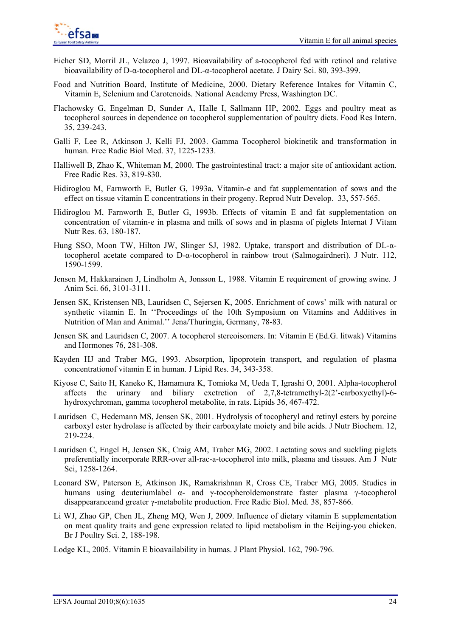- Eicher SD, Morril JL, Velazco J, 1997. Bioavailability of a-tocopherol fed with retinol and relative bioavailability of D-α-tocopherol and DL-α-tocopherol acetate. J Dairy Sci. 80, 393-399.
- Food and Nutrition Board, Institute of Medicine, 2000. Dietary Reference Intakes for Vitamin C, Vitamin E, Selenium and Carotenoids. National Academy Press, Washington DC.
- Flachowsky G, Engelman D, Sunder A, Halle I, Sallmann HP, 2002. Eggs and poultry meat as tocopherol sources in dependence on tocopherol supplementation of poultry diets. Food Res Intern. 35, 239-243.
- Galli F, Lee R, Atkinson J, Kelli FJ, 2003. Gamma Tocopherol biokinetik and transformation in human. Free Radic Biol Med. 37, 1225-1233.
- Halliwell B, Zhao K, Whiteman M, 2000. The gastrointestinal tract: a major site of antioxidant action. Free Radic Res. 33, 819-830.
- Hidiroglou M, Farnworth E, Butler G, 1993a. Vitamin-e and fat supplementation of sows and the effect on tissue vitamin E concentrations in their progeny. Reprod Nutr Develop. 33, 557-565.
- Hidiroglou M, Farnworth E, Butler G, 1993b. Effects of vitamin E and fat supplementation on concentration of vitamin-e in plasma and milk of sows and in plasma of piglets Internat J Vitam Nutr Res. 63, 180-187.
- Hung SSO, Moon TW, Hilton JW, Slinger SJ, 1982. Uptake, transport and distribution of DL-αtocopherol acetate compared to D-α-tocopherol in rainbow trout (Salmogairdneri). J Nutr. 112, 1590-1599.
- Jensen M, Hakkarainen J, Lindholm A, Jonsson L, 1988. Vitamin E requirement of growing swine. J Anim Sci. 66, 3101-3111.
- Jensen SK, Kristensen NB, Lauridsen C, Sejersen K, 2005. Enrichment of cows' milk with natural or synthetic vitamin E. In ''Proceedings of the 10th Symposium on Vitamins and Additives in Nutrition of Man and Animal.'' Jena/Thuringia, Germany, 78-83.
- Jensen SK and Lauridsen C, 2007. A tocopherol stereoisomers. In: Vitamin E (Ed.G. litwak) Vitamins and Hormones 76, 281-308.
- Kayden HJ and Traber MG, 1993. Absorption, lipoprotein transport, and regulation of plasma concentrationof vitamin E in human. J Lipid Res. 34, 343-358.
- Kiyose C, Saito H, Kaneko K, Hamamura K, Tomioka M, Ueda T, Igrashi O, 2001. Alpha-tocopherol affects the urinary and biliary exctretion of  $2.7.8$ -tetramethyl- $2(2)$ -carboxyethyl)-6hydroxychroman, gamma tocopherol metabolite, in rats. Lipids 36, 467-472.
- Lauridsen C, Hedemann MS, Jensen SK, 2001. Hydrolysis of tocopheryl and retinyl esters by porcine carboxyl ester hydrolase is affected by their carboxylate moiety and bile acids. J Nutr Biochem. 12, 219-224.
- Lauridsen C, Engel H, Jensen SK, Craig AM, Traber MG, 2002. Lactating sows and suckling piglets preferentially incorporate RRR-over all-rac-a-tocopherol into milk, plasma and tissues. Am J Nutr Sci, 1258-1264.
- Leonard SW, Paterson E, Atkinson JK, Ramakrishnan R, Cross CE, Traber MG, 2005. Studies in humans using deuteriumlabel α- and γ-tocopheroldemonstrate faster plasma γ-tocopherol disappearanceand greater γ-metabolite production. Free Radic Biol. Med. 38, 857-866.
- Li WJ, Zhao GP, Chen JL, Zheng MQ, Wen J, 2009. Influence of dietary vitamin E supplementation on meat quality traits and gene expression related to lipid metabolism in the Beijing-you chicken. Br J Poultry Sci. 2, 188-198.
- Lodge KL, 2005. Vitamin E bioavailability in humas. J Plant Physiol. 162, 790-796.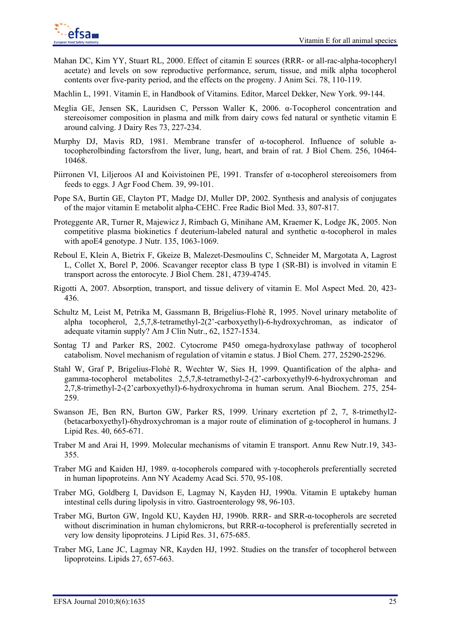

- Mahan DC, Kim YY, Stuart RL, 2000. Effect of citamin E sources (RRR- or all-rac-alpha-tocopheryl acetate) and levels on sow reproductive performance, serum, tissue, and milk alpha tocopherol contents over five-parity period, and the effects on the progeny. J Anim Sci. 78, 110-119.
- Machlin L, 1991. Vitamin E, in Handbook of Vitamins. Editor, Marcel Dekker, New York. 99-144.
- Meglia GE, Jensen SK, Lauridsen C, Persson Waller K, 2006. α-Tocopherol concentration and stereoisomer composition in plasma and milk from dairy cows fed natural or synthetic vitamin E around calving. J Dairy Res 73, 227-234.
- Murphy DJ, Mavis RD, 1981. Membrane transfer of α-tocopherol. Influence of soluble atocopherolbinding factorsfrom the liver, lung, heart, and brain of rat. J Biol Chem. 256, 10464- 10468.
- Piirronen VI, Liljeroos AI and Koivistoinen PE, 1991. Transfer of α-tocopherol stereoisomers from feeds to eggs. J Agr Food Chem. 39, 99-101.
- Pope SA, Burtin GE, Clayton PT, Madge DJ, Muller DP, 2002. Synthesis and analysis of conjugates of the major vitamin E metabolit alpha-CEHC. Free Radic Biol Med. 33, 807-817.
- Proteggente AR, Turner R, Majewicz J, Rimbach G, Minihane AM, Kraemer K, Lodge JK, 2005. Non competitive plasma biokinetics f deuterium-labeled natural and synthetic α-tocopherol in males with apoE4 genotype. J Nutr. 135, 1063-1069.
- Reboul E, Klein A, Bietrix F, Gkeize B, Malezet-Desmoulins C, Schneider M, Margotata A, Lagrost L, Collet X, Borel P, 2006. Scavanger receptor class B type I (SR-BI) is involved in vitamin E transport across the entorocyte. J Biol Chem. 281, 4739-4745.
- Rigotti A, 2007. Absorption, transport, and tissue delivery of vitamin E. Mol Aspect Med. 20, 423- 436.
- Schultz M, Leist M, Petrika M, Gassmann B, Brigelius-Flohè R, 1995. Novel urinary metabolite of alpha tocopherol, 2,5,7,8-tetramethyl-2(2'-carboxyethyl)-6-hydroxychroman, as indicator of adequate vitamin supply? Am J Clin Nutr., 62, 1527-1534.
- Sontag TJ and Parker RS, 2002. Cytocrome P450 omega-hydroxylase pathway of tocopherol catabolism. Novel mechanism of regulation of vitamin e status. J Biol Chem. 277, 25290-25296.
- Stahl W, Graf P, Brigelius-Flohè R, Wechter W, Sies H, 1999. Quantification of the alpha- and gamma-tocopherol metabolites 2,5,7,8-tetramethyl-2-(2'-carboxyethyl9-6-hydroxychroman and 2,7,8-trimethyl-2-(2'carboxyethyl)-6-hydroxychroma in human serum. Anal Biochem. 275, 254- 259.
- Swanson JE, Ben RN, Burton GW, Parker RS, 1999. Urinary excrtetion pf 2, 7, 8-trimethyl2- (betacarboxyethyl)-6hydroxychroman is a major route of elimination of g-tocopherol in humans. J Lipid Res. 40, 665-671.
- Traber M and Arai H, 1999. Molecular mechanisms of vitamin E transport. Annu Rew Nutr.19, 343- 355.
- Traber MG and Kaiden HJ, 1989. α-tocopherols compared with γ-tocopherols preferentially secreted in human lipoproteins. Ann NY Academy Acad Sci. 570, 95-108.
- Traber MG, Goldberg I, Davidson E, Lagmay N, Kayden HJ, 1990a. Vitamin E uptakeby human intestinal cells during lipolysis in vitro. Gastroenterology 98, 96-103.
- Traber MG, Burton GW, Ingold KU, Kayden HJ, 1990b. RRR- and SRR-α-tocopherols are secreted without discrimination in human chylomicrons, but RRR-α-tocopherol is preferentially secreted in very low density lipoproteins. J Lipid Res. 31, 675-685.
- Traber MG, Lane JC, Lagmay NR, Kayden HJ, 1992. Studies on the transfer of tocopherol between lipoproteins. Lipids 27, 657-663.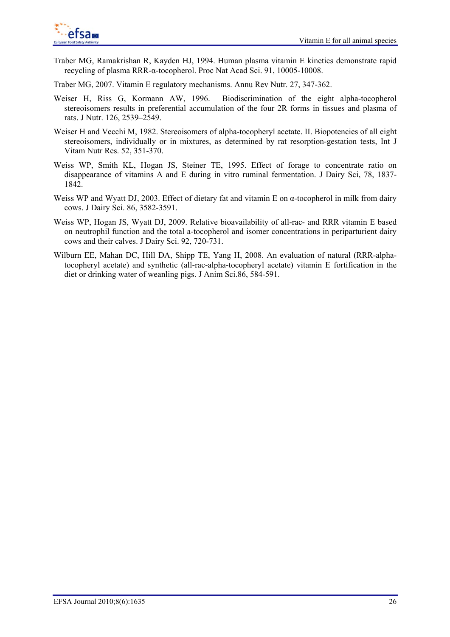

Traber MG, Ramakrishan R, Kayden HJ, 1994. Human plasma vitamin E kinetics demonstrate rapid recycling of plasma RRR-α-tocopherol. Proc Nat Acad Sci. 91, 10005-10008.

Traber MG, 2007. Vitamin E regulatory mechanisms. Annu Rev Nutr. 27, 347-362.

- Weiser H, Riss G, Kormann AW, 1996. Biodiscrimination of the eight alpha-tocopherol stereoisomers results in preferential accumulation of the four 2R forms in tissues and plasma of rats. J Nutr. 126, 2539–2549.
- Weiser H and Vecchi M, 1982. Stereoisomers of alpha-tocopheryl acetate. II. Biopotencies of all eight stereoisomers, individually or in mixtures, as determined by rat resorption-gestation tests, Int J Vitam Nutr Res. 52, 351-370.
- Weiss WP, Smith KL, Hogan JS, Steiner TE, 1995. Effect of forage to concentrate ratio on disappearance of vitamins A and E during in vitro ruminal fermentation. J Dairy Sci, 78, 1837- 1842.
- Weiss WP and Wyatt DJ, 2003. Effect of dietary fat and vitamin E on  $\alpha$ -tocopherol in milk from dairy cows. J Dairy Sci. 86, 3582-3591.
- Weiss WP, Hogan JS, Wyatt DJ, 2009. Relative bioavailability of all-rac- and RRR vitamin E based on neutrophil function and the total a-tocopherol and isomer concentrations in periparturient dairy cows and their calves. J Dairy Sci. 92, 720-731.
- Wilburn EE, Mahan DC, Hill DA, Shipp TE, Yang H, 2008. An evaluation of natural (RRR-alphatocopheryl acetate) and synthetic (all-rac-alpha-tocopheryl acetate) vitamin E fortification in the diet or drinking water of weanling pigs. J Anim Sci.86, 584-591.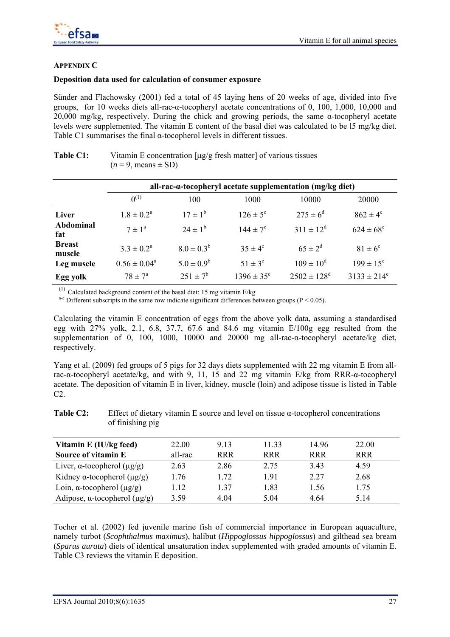

### **APPENDIX C**

### **Deposition data used for calculation of consumer exposure**

Sünder and Flachowsky (2001) fed a total of 45 laying hens of 20 weeks of age, divided into five groups, for 10 weeks diets all-rac-α-tocopheryl acetate concentrations of 0, 100, 1,000, 10,000 and 20,000 mg/kg, respectively. During the chick and growing periods, the same α-tocopheryl acetate levels were supplemented. The vitamin E content of the basal diet was calculated to be l5 mg/kg diet. Table C1 summarises the final α-tocopherol levels in different tissues.

|                         | all-rac-a-tocopheryl acetate supplementation (mg/kg diet) |                 |                       |                             |                  |  |  |
|-------------------------|-----------------------------------------------------------|-----------------|-----------------------|-----------------------------|------------------|--|--|
|                         | $0^{(1)}$                                                 | 100             | 1000                  | 10000                       | 20000            |  |  |
| Liver                   | $1.8 \pm 0.2^{\rm a}$                                     | $17 \pm 1^b$    | $126 \pm 5^{\circ}$   | $275 \pm 6^{\rm d}$         | $862 \pm 4^e$    |  |  |
| Abdominal<br>fat        | $7 \pm 1^{\circ}$                                         | $24 \pm 1^{6}$  | $144 \pm 7^{\circ}$   | $311 \pm 12^d$              | $624 \pm 68^e$   |  |  |
| <b>Breast</b><br>muscle | $3.3 \pm 0.2^a$                                           | $8.0 \pm 0.3^b$ | $35 \pm 4^{\circ}$    | $65 \pm 2^{d}$              | $81 \pm 6^e$     |  |  |
| Leg muscle              | $0.56 \pm 0.04^a$                                         | $5.0 \pm 0.9^b$ | $51 \pm 3^{\circ}$    | $109 \pm 10^d$              | $199 \pm 15^e$   |  |  |
| Egg yolk                | $78 \pm 7^{\circ}$                                        | $251 \pm 7^b$   | $1396 \pm 35^{\circ}$ | $2502 \pm 128$ <sup>d</sup> | $3133 \pm 214^e$ |  |  |

### **Table C1:** Vitamin E concentration [μg/g fresh matter] of various tissues  $(n = 9, \text{means} \pm SD)$

<sup>(1)</sup> Calculated background content of the basal diet: 15 mg vitamin E/kg <sup>a-e</sup> Different subscripts in the same row indicate significant differences between groups (P < 0.05).

Calculating the vitamin E concentration of eggs from the above yolk data, assuming a standardised egg with 27% yolk, 2.1, 6.8, 37.7, 67.6 and 84.6 mg vitamin E/100g egg resulted from the supplementation of 0, 100, 1000, 10000 and 20000 mg all-rac-α-tocopheryl acetate/kg diet, respectively.

Yang et al. (2009) fed groups of 5 pigs for 32 days diets supplemented with 22 mg vitamin E from allrac-α-tocopheryl acetate/kg, and with 9, 11, 15 and 22 mg vitamin E/kg from RRR-α-tocopheryl acetate. The deposition of vitamin E in liver, kidney, muscle (loin) and adipose tissue is listed in Table C2.

**Table C2:** Effect of dietary vitamin E source and level on tissue α-tocopherol concentrations of finishing pig

| Vitamin E (IU/kg feed)                     | 22.00   | 9 1 3      | 11.33      | 14.96      | 22.00      |  |
|--------------------------------------------|---------|------------|------------|------------|------------|--|
| Source of vitamin E                        | all-rac | <b>RRR</b> | <b>RRR</b> | <b>RRR</b> | <b>RRR</b> |  |
| Liver, $\alpha$ -tocopherol ( $\mu$ g/g)   | 2.63    | 2.86       | 2.75       | 3.43       | 4.59       |  |
| Kidney $\alpha$ -tocopherol ( $\mu$ g/g)   | 1.76    | 1.72       | 191        | 2.27       | 2.68       |  |
| Loin, $\alpha$ -tocopherol ( $\mu$ g/g)    | 1.12    | 1 37       | 1.83       | 1.56       | 1.75       |  |
| Adipose, $\alpha$ -tocopherol ( $\mu$ g/g) | 3.59    | 4 0 4      | 5.04       | 4 64       | 5 1 4      |  |

Tocher et al. (2002) fed juvenile marine fish of commercial importance in European aquaculture, namely turbot (*Scophthalmus maximus*), halibut (*Hippoglossus hippoglossus*) and gilthead sea bream (*Sparus aurata*) diets of identical unsaturation index supplemented with graded amounts of vitamin E. Table C3 reviews the vitamin E deposition.